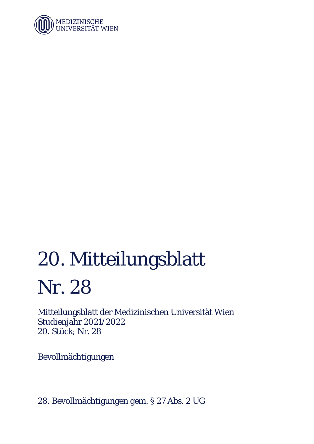

# 20. Mitteilungsblatt Nr. 28

Mitteilungsblatt der Medizinischen Universität Wien Studienjahr 2021/2022 20. Stück; Nr. 28

Bevollmächtigungen

28. Bevollmächtigungen gem. § 27 Abs. 2 UG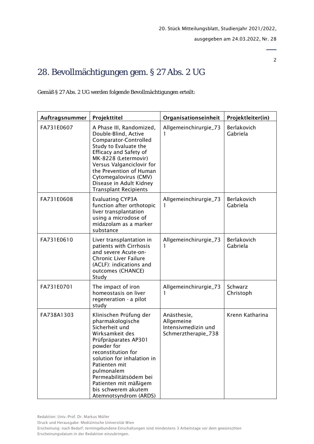2

# 28. Bevollmächtigungen gem. § 27 Abs. 2 UG

Gemäß § 27 Abs. 2 UG werden folgende Bevollmächtigungen erteilt:

| Auftragsnummer | Projekttitel                                                                                                                                                                                                                                                                                                | Organisationseinheit                                                    | Projektleiter(in)       |
|----------------|-------------------------------------------------------------------------------------------------------------------------------------------------------------------------------------------------------------------------------------------------------------------------------------------------------------|-------------------------------------------------------------------------|-------------------------|
| FA731E0607     | A Phase III, Randomized,<br>Double-Blind, Active<br>Comparator-Controlled<br>Study to Evaluate the<br>Efficacy and Safety of<br>MK-8228 (Letermovir)<br>Versus Valganciclovir for<br>the Prevention of Human<br>Cytomegalovirus (CMV)<br>Disease in Adult Kidney<br>Transplant Recipients                   | Allgemeinchirurgie_73                                                   | Berlakovich<br>Gabriela |
| FA731E0608     | <b>Evaluating CYP3A</b><br>function after orthotopic<br>liver transplantation<br>using a microdose of<br>midazolam as a marker<br>substance                                                                                                                                                                 | Allgemeinchirurgie_73<br>1                                              | Berlakovich<br>Gabriela |
| FA731E0610     | Liver transplantation in<br>patients with Cirrhosis<br>and severe Acute-on-<br>Chronic Liver Failure<br>(ACLF): indications and<br>outcomes (CHANCE)<br>Study                                                                                                                                               | Allgemeinchirurgie_73                                                   | Berlakovich<br>Gabriela |
| FA731E0701     | The impact of iron<br>homeostasis on liver<br>regeneration - a pilot<br>study                                                                                                                                                                                                                               | Allgemeinchirurgie_73                                                   | Schwarz<br>Christoph    |
| FA738A1303     | Klinischen Prüfung der<br>pharmakologische<br>Sicherheit und<br>Wirksamkeit des<br>Prüfpräparates AP301<br>powder for<br>reconstitution for<br>solution for inhalation in<br>Patienten mit<br>pulmonalem<br>Permeabilitätsödem bei<br>Patienten mit mäßigem<br>bis schwerem akutem<br>Atemnotsyndrom (ARDS) | Anästhesie,<br>Allgemeine<br>Intensivmedizin und<br>Schmerztherapie_738 | Krenn Katharina         |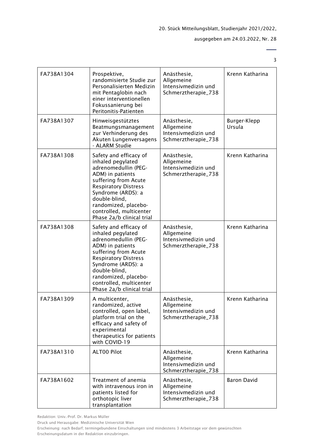3

| FA738A1304 | Prospektive,<br>randomisierte Studie zur<br>Personalisierten Medizin<br>mit Pentaglobin nach<br>einer interventionellen<br>Fokussanierung bei<br>Peritonitis-Patienten                                                                                                | Anästhesie,<br>Allgemeine<br>Intensivmedizin und<br>Schmerztherapie_738 | Krenn Katharina        |
|------------|-----------------------------------------------------------------------------------------------------------------------------------------------------------------------------------------------------------------------------------------------------------------------|-------------------------------------------------------------------------|------------------------|
| FA738A1307 | Hinweisgestütztes<br>Beatmungsmanagement<br>zur Verhinderung des<br>Akuten Lungenversagens<br>- ALARM Studie                                                                                                                                                          | Anästhesie,<br>Allgemeine<br>Intensivmedizin und<br>Schmerztherapie_738 | Burger-Klepp<br>Ursula |
| FA738A1308 | Safety and efficacy of<br>inhaled pegylated<br>adrenomedullin (PEG-<br>ADM) in patients<br>suffering from Acute<br><b>Respiratory Distress</b><br>Syndrome (ARDS): a<br>double-blind,<br>randomized, placebo-<br>controlled, multicenter<br>Phase 2a/b clinical trial | Anästhesie,<br>Allgemeine<br>Intensivmedizin und<br>Schmerztherapie_738 | Krenn Katharina        |
| FA738A1308 | Safety and efficacy of<br>inhaled pegylated<br>adrenomedullin (PEG-<br>ADM) in patients<br>suffering from Acute<br><b>Respiratory Distress</b><br>Syndrome (ARDS): a<br>double-blind,<br>randomized, placebo-<br>controlled, multicenter<br>Phase 2a/b clinical trial | Anästhesie,<br>Allgemeine<br>Intensivmedizin und<br>Schmerztherapie_738 | Krenn Katharina        |
| FA738A1309 | A multicenter,<br>randomized, active<br>controlled, open label,<br>platform trial on the<br>efficacy and safety of<br>experimental<br>therapeutics for patients<br>with COVID-19                                                                                      | Anästhesie,<br>Allgemeine<br>Intensivmedizin und<br>Schmerztherapie_738 | Krenn Katharina        |
| FA738A1310 | ALT00 Pilot                                                                                                                                                                                                                                                           | Anästhesie,<br>Allgemeine<br>Intensivmedizin und<br>Schmerztherapie_738 | Krenn Katharina        |
| FA738A1602 | Treatment of anemia<br>with intravenous iron in<br>patients listed for<br>orthotopic liver<br>transplantation                                                                                                                                                         | Anästhesie,<br>Allgemeine<br>Intensivmedizin und<br>Schmerztherapie_738 | <b>Baron David</b>     |

Redaktion: Univ.-Prof. Dr. Markus Müller

Druck und Herausgabe: Medizinische Universität Wien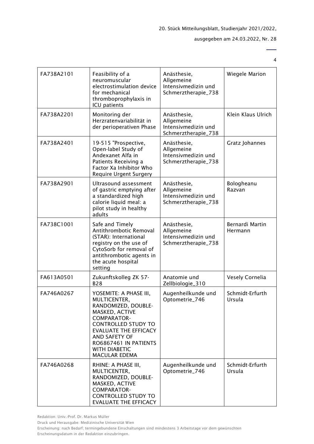4

| FA738A2101 | Feasibility of a<br>neuromuscular<br>electrostimulation device<br>for mechanical<br>thromboprophylaxis in<br>ICU patients                                                                                                                              | Anästhesie,<br>Allgemeine<br>Intensivmedizin und<br>Schmerztherapie_738 | Wiegele Marion             |
|------------|--------------------------------------------------------------------------------------------------------------------------------------------------------------------------------------------------------------------------------------------------------|-------------------------------------------------------------------------|----------------------------|
| FA738A2201 | Monitoring der<br>Herzratenvariabilität in<br>der perioperativen Phase                                                                                                                                                                                 | Anästhesie,<br>Allgemeine<br>Intensivmedizin und<br>Schmerztherapie_738 | Klein Klaus Ulrich         |
| FA738A2401 | 19-515 "Prospective,<br>Open-label Study of<br>Andexanet Alfa in<br>Patients Receiving a<br>Factor Xa Inhibitor Who<br><b>Require Urgent Surgery</b>                                                                                                   | Anästhesie,<br>Allgemeine<br>Intensivmedizin und<br>Schmerztherapie_738 | Gratz Johannes             |
| FA738A2901 | Ultrasound assessment<br>of gastric emptying after<br>a standardized high<br>calorie liquid meal: a<br>pilot study in healthy<br>adults                                                                                                                | Anästhesie,<br>Allgemeine<br>Intensivmedizin und<br>Schmerztherapie_738 | Bologheanu<br>Razvan       |
| FA738C1001 | Safe and Timely<br>Antithrombotic Removal<br>(STAR): International<br>registry on the use of<br>CytoSorb for removal of<br>antithrombotic agents in<br>the acute hospital<br>setting                                                                   | Anästhesie,<br>Allgemeine<br>Intensivmedizin und<br>Schmerztherapie_738 | Bernardi Martin<br>Hermann |
| FA613A0501 | Zukunftskolleg ZK 57-<br><b>B28</b>                                                                                                                                                                                                                    | Anatomie und<br>Zellbiologie_310                                        | Vesely Cornelia            |
| FA746A0267 | YOSEMITE: A PHASE III,<br>MULTICENTER,<br>RANDOMIZED, DOUBLE-<br>MASKED, ACTIVE<br><b>COMPARATOR-</b><br><b>CONTROLLED STUDY TO</b><br><b>EVALUATE THE EFFICACY</b><br>AND SAFETY OF<br>RO6867461 IN PATIENTS<br><b>WITH DIABETIC</b><br>MACULAR EDEMA | Augenheilkunde und<br>Optometrie_746                                    | Schmidt-Erfurth<br>Ursula  |
| FA746A0268 | RHINE: A PHASE III,<br>MULTICENTER,<br>RANDOMIZED, DOUBLE-<br>MASKED, ACTIVE<br><b>COMPARATOR-</b><br><b>CONTROLLED STUDY TO</b><br><b>EVALUATE THE EFFICACY</b>                                                                                       | Augenheilkunde und<br>Optometrie_746                                    | Schmidt-Erfurth<br>Ursula  |

Redaktion: Univ.-Prof. Dr. Markus Müller

Druck und Herausgabe: Medizinische Universität Wien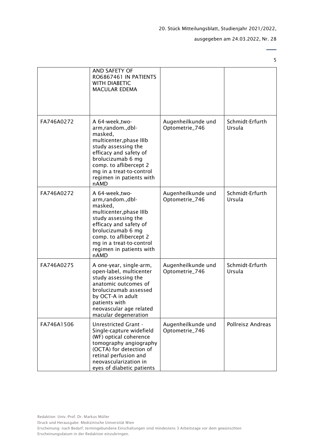$\overline{\phantom{0}}$ 5

|            | AND SAFETY OF<br>RO6867461 IN PATIENTS<br><b>WITH DIABETIC</b><br><b>MACULAR EDEMA</b>                                                                                                                                                      |                                      |                           |
|------------|---------------------------------------------------------------------------------------------------------------------------------------------------------------------------------------------------------------------------------------------|--------------------------------------|---------------------------|
|            |                                                                                                                                                                                                                                             |                                      |                           |
| FA746A0272 | A 64-week, two-<br>arm, random., dbl-<br>masked,<br>multicenter, phase IIIb<br>study assessing the<br>efficacy and safety of<br>brolucizumab 6 mg<br>comp. to aflibercept 2<br>mg in a treat-to-control<br>regimen in patients with<br>nAMD | Augenheilkunde und<br>Optometrie_746 | Schmidt-Erfurth<br>Ursula |
| FA746A0272 | A 64-week, two-<br>arm, random., dbl-<br>masked,<br>multicenter, phase IIIb<br>study assessing the<br>efficacy and safety of<br>brolucizumab 6 mg<br>comp. to aflibercept 2<br>mg in a treat-to-control<br>regimen in patients with<br>nAMD | Augenheilkunde und<br>Optometrie_746 | Schmidt-Erfurth<br>Ursula |
| FA746A0275 | A one-year, single-arm,<br>open-label, multicenter<br>study assessing the<br>anatomic outcomes of<br>brolucizumab assessed<br>by OCT-A in adult<br>patients with<br>neovascular age related<br>macular degeneration                         | Augenheilkunde und<br>Optometrie_746 | Schmidt-Erfurth<br>Ursula |
| FA746A1506 | <b>Unrestricted Grant -</b><br>Single-capture widefield<br>(WF) optical coherence<br>tomography angiography<br>(OCTA) for detection of<br>retinal perfusion and<br>neovascularization in<br>eyes of diabetic patients                       | Augenheilkunde und<br>Optometrie_746 | Pollreisz Andreas         |

Druck und Herausgabe: Medizinische Universität Wien Erscheinung: nach Bedarf; termingebundene Einschaltungen sind mindestens 3 Arbeitstage vor dem gewünschten Erscheinungsdatum in der Redaktion einzubringen.

Redaktion: Univ.-Prof. Dr. Markus Müller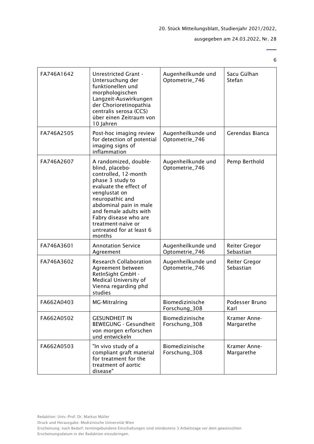# ausgegeben am 24.03.2022, Nr. 28

 $\overline{\phantom{0}}$ 6

| FA746A1642 | <b>Unrestricted Grant -</b><br>Untersuchung der<br>funktionellen und<br>morphologischen<br>Langzeit-Auswirkungen<br>der Chorioretinopathia<br>centralis serosa (CCS)<br>über einen Zeitraum von<br>10 Jahren                                                                                | Augenheilkunde und<br>Optometrie_746 | Sacu Gülhan<br>Stefan             |
|------------|---------------------------------------------------------------------------------------------------------------------------------------------------------------------------------------------------------------------------------------------------------------------------------------------|--------------------------------------|-----------------------------------|
| FA746A2505 | Post-hoc imaging review<br>for detection of potential<br>imaging signs of<br>inflammation                                                                                                                                                                                                   | Augenheilkunde und<br>Optometrie_746 | Gerendas Bianca                   |
| FA746A2607 | A randomized, double-<br>blind, placebo-<br>controlled, 12-month<br>phase 3 study to<br>evaluate the effect of<br>venglustat on<br>neuropathic and<br>abdominal pain in male<br>and female adults with<br>Fabry disease who are<br>treatment-naïve or<br>untreated for at least 6<br>months | Augenheilkunde und<br>Optometrie_746 | Pemp Berthold                     |
| FA746A3601 | <b>Annotation Service</b><br>Agreement                                                                                                                                                                                                                                                      | Augenheilkunde und<br>Optometrie_746 | <b>Reiter Gregor</b><br>Sebastian |
| FA746A3602 | <b>Research Collaboration</b><br>Agreement between<br>RetInSight GmbH -<br>Medical University of<br>Vienna regarding phd<br>studies                                                                                                                                                         | Augenheilkunde und<br>Optometrie_746 | <b>Reiter Gregor</b><br>Sebastian |
| FA662A0403 | <b>MG-Mitralring</b>                                                                                                                                                                                                                                                                        | Biomedizinische<br>Forschung_308     | Podesser Bruno<br>Karl            |
| FA662A0502 | <b>GESUNDHEIT IN</b><br><b>BEWEGUNG - Gesundheit</b><br>von morgen erforschen<br>und entwickeln                                                                                                                                                                                             | Biomedizinische<br>Forschung_308     | Kramer Anne-<br>Margarethe        |
| FA662A0503 | "In vivo study of a<br>compliant graft material<br>for treatment for the<br>treatment of aortic<br>disease"                                                                                                                                                                                 | Biomedizinische<br>Forschung_308     | Kramer Anne-<br>Margarethe        |

Erscheinung: nach Bedarf; termingebundene Einschaltungen sind mindestens 3 Arbeitstage vor dem gewünschten Erscheinungsdatum in der Redaktion einzubringen.

Druck und Herausgabe: Medizinische Universität Wien

Redaktion: Univ.-Prof. Dr. Markus Müller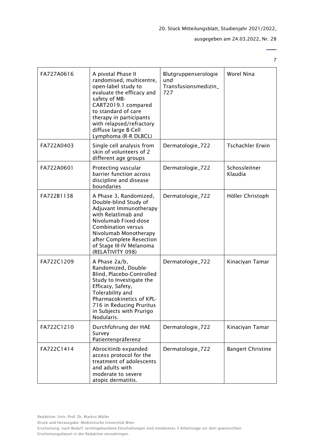$\overline{a}$ 7

| FA727A0616 | A pivotal Phase II<br>randomised, multicentre,<br>open-label study to<br>evaluate the efficacy and<br>safety of MB-<br>CART2019.1 compared<br>to standard of care<br>therapy in participants<br>with relapsed/refractory<br>diffuse large B-Cell<br>Lymphoma (R-R DLBCL) | Blutgruppenserologie<br>und<br>Transfusionsmedizin_<br>727 | Worel Nina               |
|------------|--------------------------------------------------------------------------------------------------------------------------------------------------------------------------------------------------------------------------------------------------------------------------|------------------------------------------------------------|--------------------------|
| FA722A0403 | Single cell analysis from<br>skin of volunteers of 2<br>different age groups                                                                                                                                                                                             | Dermatologie_722                                           | <b>Tschachler Erwin</b>  |
| FA722A0601 | Protecting vascular<br>barrier function across<br>discipline and disease<br>boundaries                                                                                                                                                                                   | Dermatologie_722                                           | Schossleitner<br>Klaudia |
| FA722B1138 | A Phase 3, Randomized,<br>Double-blind Study of<br>Adjuvant Immunotherapy<br>with Relatlimab and<br>Nivolumab Fixed-dose<br><b>Combination versus</b><br>Nivolumab Monotherapy<br>after Complete Resection<br>of Stage III-IV Melanoma<br>(RELATIVITY 098)               | Dermatologie_722                                           | Höller Christoph         |
| FA722C1209 | A Phase 2a/b,<br>Randomized, Double-<br>Blind, Placebo-Controlled<br>Study to Investigate the<br>Efficacy, Safety,<br>Tolerability and<br>Pharmacokinetics of KPL-<br>716 in Reducing Pruritus<br>in Subjects with Prurigo<br>Nodularis.                                 | Dermatologie_722                                           | Kinaciyan Tamar          |
| FA722C1210 | Durchführung der HAE<br>Survey<br>Patientenpräferenz                                                                                                                                                                                                                     | Dermatologie_722                                           | Kinaciyan Tamar          |
| FA722C1414 | Abrocitinib expanded<br>access protocol for the<br>treatment of adolescents<br>and adults with<br>moderate to severe<br>atopic dermatitis.                                                                                                                               | Dermatologie_722                                           | <b>Bangert Christine</b> |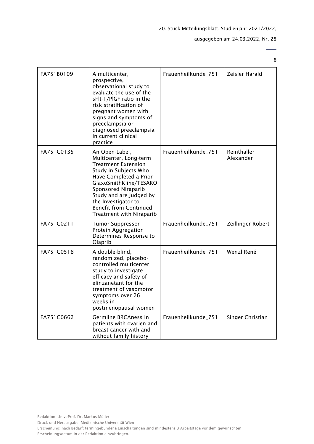# ausgegeben am 24.03.2022, Nr. 28

| FA751B0109 | A multicenter,<br>prospective,<br>observational study to<br>evaluate the use of the<br>sFlt-1/PIGF ratio in the<br>risk stratification of<br>pregnant women with<br>signs and symptoms of<br>preeclampsia or<br>diagnosed preeclampsia<br>in current clinical<br>practice                 | Frauenheilkunde_751 | Zeisler Harald           |
|------------|-------------------------------------------------------------------------------------------------------------------------------------------------------------------------------------------------------------------------------------------------------------------------------------------|---------------------|--------------------------|
| FA751C0135 | An Open-Label,<br>Multicenter, Long-term<br><b>Treatment Extension</b><br>Study in Subjects Who<br>Have Completed a Prior<br>GlaxoSmithKline/TESARO<br>Sponsored Niraparib<br>Study and are Judged by<br>the Investigator to<br><b>Benefit from Continued</b><br>Treatment with Niraparib | Frauenheilkunde_751 | Reinthaller<br>Alexander |
| FA751C0211 | <b>Tumor Suppressor</b><br>Protein Aggregation<br>Determines Response to<br>Olaprib                                                                                                                                                                                                       | Frauenheilkunde_751 | Zeillinger Robert        |
| FA751C0518 | A double-blind,<br>randomized, placebo-<br>controlled multicenter<br>study to investigate<br>efficacy and safety of<br>elinzanetant for the<br>treatment of vasomotor<br>symptoms over 26<br>weeks in<br>postmenopausal women                                                             | Frauenheilkunde_751 | Wenzl René               |
| FA751C0662 | Germline BRCAness in<br>patients with ovarien and<br>breast cancer with and<br>without family history                                                                                                                                                                                     | Frauenheilkunde_751 | Singer Christian         |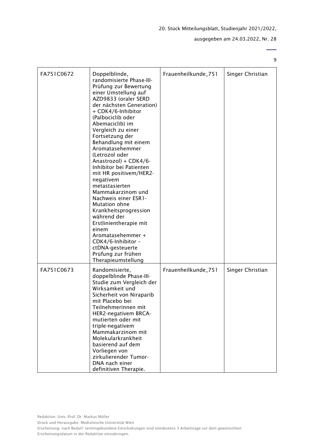ausgegeben am 24.03.2022, Nr. 28

9

 $\overline{a}$ 

| FA751C0672 | Doppelblinde,<br>randomisierte Phase-III-<br>Prüfung zur Bewertung<br>einer Umstellung auf<br>AZD9833 (oraler SERD<br>der nächsten Generation)<br>+ CDK4/6-Inhibitor<br>(Palbociclib oder<br>Abemaciclib) im<br>Vergleich zu einer<br>Fortsetzung der<br>Behandlung mit einem<br>Aromatasehemmer<br>(Letrozol oder<br>Anastrozol) + CDK4/6-<br>Inhibitor bei Patienten<br>mit HR positivem/HER2-<br>negativem<br>metastasierten<br>Mammakarzinom und<br>Nachweis einer ESR1-<br>Mutation ohne<br>Krankheitsprogression<br>während der<br>Erstlinientherapie mit<br>einem<br>Aromatasehemmer +<br>CDK4/6-Inhibitor -<br>ctDNA-gesteuerte<br>Prüfung zur frühen<br>Therapieumstellung | Frauenheilkunde_751 | Singer Christian |
|------------|-------------------------------------------------------------------------------------------------------------------------------------------------------------------------------------------------------------------------------------------------------------------------------------------------------------------------------------------------------------------------------------------------------------------------------------------------------------------------------------------------------------------------------------------------------------------------------------------------------------------------------------------------------------------------------------|---------------------|------------------|
| FA751C0673 | Randomisierte,<br>doppelblinde Phase-III-<br>Studie zum Vergleich der<br>Wirksamkeit und<br>Sicherheit von Niraparib<br>mit Placebo bei<br>Teilnehmerinnen mit<br>HER2-negativem BRCA-<br>mutierten oder mit<br>triple-negativem<br>Mammakarzinom mit<br>Molekularkrankheit<br>basierend auf dem<br>Vorliegen von<br>zirkulierender Tumor-<br>DNA nach einer<br>definitiven Therapie.                                                                                                                                                                                                                                                                                               | Frauenheilkunde_751 | Singer Christian |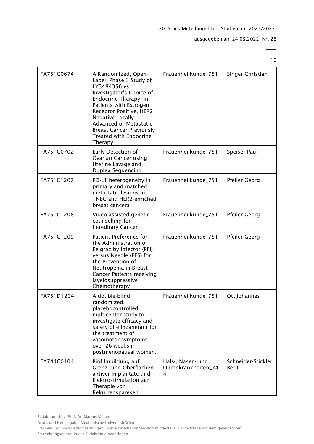# ausgegeben am 24.03.2022, Nr. 28

 $\overline{\phantom{0}}$ 10

| FA751C0674 | A Randomized, Open-<br>Label, Phase 3 Study of<br>LY3484356 vs<br>Investigator's Choice of<br>Endocrine Therapy, in<br>Patients with Estrogen<br>Receptor Positive, HER2<br>Negative Locally<br>Advanced or Metastatic<br><b>Breast Cancer Previously</b><br><b>Treated with Endocrine</b><br>Therapy | Frauenheilkunde_751                           | Singer Christian                   |
|------------|-------------------------------------------------------------------------------------------------------------------------------------------------------------------------------------------------------------------------------------------------------------------------------------------------------|-----------------------------------------------|------------------------------------|
| FA751C0702 | Early Detection of<br>Ovarian Cancer using<br>Uterine Lavage and<br><b>Duplex Sequencing</b>                                                                                                                                                                                                          | Frauenheilkunde_751                           | Speiser Paul                       |
| FA751C1207 | PD-L1 heterogeneity in<br>primary and matched<br>metastatic lesions in<br>TNBC and HER2-enriched<br>breast cancers                                                                                                                                                                                    | Frauenheilkunde_751                           | Pfeiler Georg                      |
| FA751C1208 | Video-assisted genetic<br>counselling for<br>hereditary Cancer                                                                                                                                                                                                                                        | Frauenheilkunde_751                           | Pfeiler Georg                      |
| FA751C1209 | Patient Preference for<br>the Administration of<br>Pelgraz by Infector (PFI)<br>versus Needle (PFS) for<br>the Prevention of<br>Neutropenia in Breast<br><b>Cancer Patients receiving</b><br>Myelosuppressive<br>Chemotherapy                                                                         | Frauenheilkunde_751                           | <b>Pfeiler Georg</b>               |
| FA751D1204 | A double-blind,<br>randomized,<br>placebocontrolled<br>multicenter study to<br>investigate efficacy and<br>safety of elinzanetant for<br>the treatment of<br>vasomotor symptoms<br>over 26 weeks in<br>postmenopausal women.                                                                          | Frauenheilkunde_751                           | Ott Johannes                       |
| FA744C0104 | Biofilmbildung auf<br>Grenz- und Oberflächen<br>aktiver Implantate und<br>Elektrostimulation zur<br>Therapie von<br>Rekurrensparesen                                                                                                                                                                  | Hals-, Nasen- und<br>Ohrenkrankheiten_74<br>4 | Schneider-Stickler<br><b>Berit</b> |

Redaktion: Univ.-Prof. Dr. Markus Müller

Druck und Herausgabe: Medizinische Universität Wien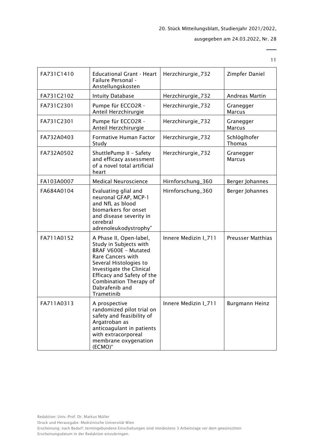11

| FA731C1410 | <b>Educational Grant - Heart</b><br>Failure Personal -<br>Anstellungskosten                                                                                                                                                                         | Herzchirurgie_732    | Zimpfer Daniel             |
|------------|-----------------------------------------------------------------------------------------------------------------------------------------------------------------------------------------------------------------------------------------------------|----------------------|----------------------------|
| FA731C2102 | <b>Intuity Database</b>                                                                                                                                                                                                                             | Herzchirurgie_732    | Andreas Martin             |
| FA731C2301 | Pumpe für ECCO2R -<br>Anteil Herzchirurgie                                                                                                                                                                                                          | Herzchirurgie_732    | Granegger<br><b>Marcus</b> |
| FA731C2301 | Pumpe für ECCO2R -<br>Anteil Herzchirurgie                                                                                                                                                                                                          | Herzchirurgie_732    | Granegger<br><b>Marcus</b> |
| FA732A0403 | Formative Human Factor<br>Study                                                                                                                                                                                                                     | Herzchirurgie_732    | Schlöglhofer<br>Thomas     |
| FA732A0502 | ShuttlePump II - Safety<br>and efficacy assessment<br>of a novel total artificial<br>heart                                                                                                                                                          | Herzchirurgie_732    | Granegger<br><b>Marcus</b> |
| FA103A0007 | <b>Medical Neuroscience</b>                                                                                                                                                                                                                         | Hirnforschung_360    | Berger Johannes            |
| FA684A0104 | Evaluating glial and<br>neuronal GFAP, MCP-1<br>and NfL as blood<br>biomarkers for onset<br>and disease severity in<br>cerebral<br>adrenoleukodystrophy"                                                                                            | Hirnforschung_360    | Berger Johannes            |
| FA711A0152 | A Phase II, Open-label,<br>Study in Subjects with<br><b>BRAF V600E - Mutated</b><br>Rare Cancers with<br>Several Histologies to<br>Investigate the Clinical<br>Efficacy and Safety of the<br>Combination Therapy of<br>Dabrafenib and<br>Trametinib | Innere Medizin I_711 | <b>Preusser Matthias</b>   |
| FA711A0313 | A prospective<br>randomized pilot trial on<br>safety and feasibility of<br>Argatroban as<br>anticoagulant in patients<br>with extracorporeal<br>membrane oxygenation<br>(ECMO)"                                                                     | Innere Medizin I_711 | Burgmann Heinz             |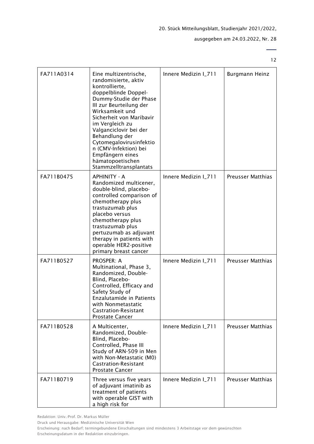# ausgegeben am 24.03.2022, Nr. 28

12

 $\overline{\phantom{0}}$ 

| FA711A0314 | Eine multizentrische,<br>randomisierte, aktiv<br>kontrollierte,<br>doppelblinde Doppel-<br>Dummy-Studie der Phase<br>III zur Beurteilung der<br>Wirksamkeit und<br>Sicherheit von Maribavir<br>im Vergleich zu<br>Valganciclovir bei der<br>Behandlung der<br>Cytomegalovirusinfektio<br>n (CMV-Infektion) bei<br>Empfängern eines<br>hämatopoetischen<br>Stammzelltransplantats | Innere Medizin I_711 | <b>Burgmann Heinz</b>    |
|------------|----------------------------------------------------------------------------------------------------------------------------------------------------------------------------------------------------------------------------------------------------------------------------------------------------------------------------------------------------------------------------------|----------------------|--------------------------|
| FA711B0475 | <b>APHINITY - A</b><br>Randomized multicener,<br>double-blind, placebo-<br>controlled comparison of<br>chemotherapy plus<br>trastuzumab plus<br>placebo versus<br>chemotherapy plus<br>trastuzumab plus<br>pertuzumab as adjuvant<br>therapy in patients with<br>operable HER2-positive<br>primary breast cancer                                                                 | Innere Medizin I_711 | <b>Preusser Matthias</b> |
| FA711B0527 | <b>PROSPER: A</b><br>Multinational, Phase 3,<br>Randomized, Double-<br>Blind, Placebo-<br>Controlled, Efficacy and<br>Safety Study of<br><b>Enzalutamide in Patients</b><br>with Nonmetastatic<br><b>Castration-Resistant</b><br><b>Prostate Cancer</b>                                                                                                                          | Innere Medizin I_711 | <b>Preusser Matthias</b> |
| FA711B0528 | A Multicenter,<br>Randomized, Double-<br>Blind, Placebo-<br>Controlled, Phase III<br>Study of ARN-509 in Men<br>with Non-Metastatic (M0)<br><b>Castration-Resistant</b><br><b>Prostate Cancer</b>                                                                                                                                                                                | Innere Medizin I_711 | <b>Preusser Matthias</b> |
| FA711B0719 | Three versus five years<br>of adjuvant imatinib as<br>treatment of patients<br>with operable GIST with<br>a high risk for                                                                                                                                                                                                                                                        | Innere Medizin I_711 | Preusser Matthias        |

Redaktion: Univ.-Prof. Dr. Markus Müller

Druck und Herausgabe: Medizinische Universität Wien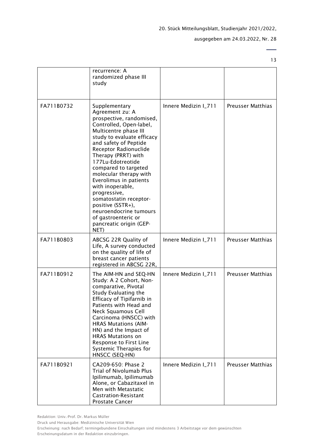13

|            | recurrence: A<br>randomized phase III<br>study                                                                                                                                                                                                                                                                                                                                                                                                                                                  |                      |                          |
|------------|-------------------------------------------------------------------------------------------------------------------------------------------------------------------------------------------------------------------------------------------------------------------------------------------------------------------------------------------------------------------------------------------------------------------------------------------------------------------------------------------------|----------------------|--------------------------|
| FA711B0732 | Supplementary<br>Agreement zu: A<br>prospective, randomised,<br>Controlled, Open-label,<br>Multicentre phase III<br>study to evaluate efficacy<br>and safety of Peptide<br>Receptor Radionuclide<br>Therapy (PRRT) with<br>177Lu-Edotreotide<br>compared to targeted<br>molecular therapy with<br>Everolimus in patients<br>with inoperable,<br>progressive,<br>somatostatin receptor-<br>positive (SSTR+),<br>neuroendocrine tumours<br>of gastroenteric or<br>pancreatic origin (GEP-<br>NET) | Innere Medizin I_711 | <b>Preusser Matthias</b> |
| FA711B0803 | ABCSG 22R Quality of<br>Life, A survey conducted<br>on the quality of life of<br>breast cancer patients<br>registered in ABCSG 22R,                                                                                                                                                                                                                                                                                                                                                             | Innere Medizin I_711 | <b>Preusser Matthias</b> |
| FA711B0912 | The AIM-HN and SEQ-HN<br>Study: A 2 Cohort, Non-<br>comparative, Pivotal<br>Study Evaluating the<br>Efficacy of Tipifarnib in<br>Patients with Head and<br>Neck Squamous Cell<br>Carcinoma (HNSCC) with<br><b>HRAS Mutations (AIM-</b><br>HN) and the Impact of<br><b>HRAS Mutations on</b><br>Response to First Line<br>Systemic Therapies for<br>HNSCC (SEQ-HN)                                                                                                                               | Innere Medizin I_711 | <b>Preusser Matthias</b> |
| FA711B0921 | CA209-650: Phase 2<br>Trial of Nivolumab Plus<br>Ipilimumab, Ipilimumab<br>Alone, or Cabazitaxel in<br>Men with Metastatic<br><b>Castration-Resistant</b><br><b>Prostate Cancer</b>                                                                                                                                                                                                                                                                                                             | Innere Medizin I_711 | <b>Preusser Matthias</b> |

Druck und Herausgabe: Medizinische Universität Wien

Erscheinung: nach Bedarf; termingebundene Einschaltungen sind mindestens 3 Arbeitstage vor dem gewünschten Erscheinungsdatum in der Redaktion einzubringen.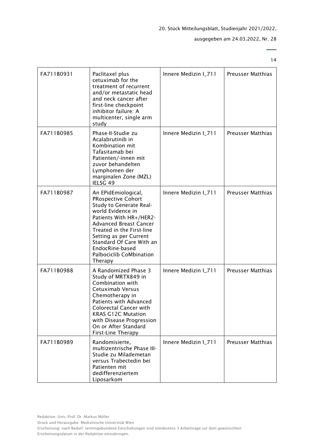ausgegeben am 24.03.2022, Nr. 28

| FA711B0931 | Paclitaxel plus<br>cetuximab for the<br>treatment of recurrent<br>and/or metastatic head<br>and neck cancer after<br>first-line checkpoint<br>inhibitor failure: A<br>multicenter, single arm<br>study                                                                                                          | Innere Medizin I_711 | <b>Preusser Matthias</b> |
|------------|-----------------------------------------------------------------------------------------------------------------------------------------------------------------------------------------------------------------------------------------------------------------------------------------------------------------|----------------------|--------------------------|
| FA711B0985 | Phase-II-Studie zu<br>Acalabrutinib in<br>Kombination mit<br>Tafasitamab bei<br>Patienten/-innen mit<br>zuvor behandelten<br>Lymphomen der<br>marginalen Zone (MZL)<br>IELSG 49                                                                                                                                 | Innere Medizin I_711 | <b>Preusser Matthias</b> |
| FA711B0987 | An EPidEmiological,<br><b>PRospective Cohort</b><br>Study to Generate Real-<br>world Evidence in<br>Patients With HR+/HER2-<br><b>Advanced Breast Cancer</b><br>Treated in the First-line<br>Setting as per Current<br>Standard Of Care With an<br>EndocRine-based<br><b>Palbociclib CoMbination</b><br>Therapy | Innere Medizin I_711 | <b>Preusser Matthias</b> |
| FA711B0988 | A Randomized Phase 3<br>Study of MRTX849 in<br>Combination with<br>Cetuximab Versus<br>Chemotherapy in<br>Patients with Advanced<br><b>Colorectal Cancer with</b><br><b>KRAS G12C Mutation</b><br>with Disease Progression<br>On or After Standard<br>First-Line Therapy                                        | Innere Medizin I_711 | <b>Preusser Matthias</b> |
| FA711B0989 | Randomisierte,<br>multizentrische Phase III-<br>Studie zu Milademetan<br>versus Trabectedin bei<br>Patienten mit<br>dedifferenziertem<br>Liposarkom                                                                                                                                                             | Innere Medizin I_711 | <b>Preusser Matthias</b> |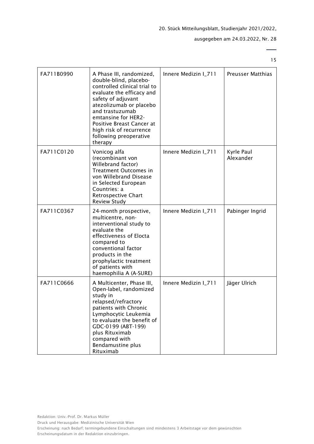# ausgegeben am 24.03.2022, Nr. 28

15

| FA711B0990 | A Phase III, randomized,<br>double-blind, placebo-<br>controlled clinical trial to<br>evaluate the efficacy and<br>safety of adjuvant<br>atezolizumab or placebo<br>and trastuzumab<br>emtansine for HER2-<br>Positive Breast Cancer at<br>high risk of recurrence<br>following preoperative<br>therapy | Innere Medizin I_711 | <b>Preusser Matthias</b> |
|------------|---------------------------------------------------------------------------------------------------------------------------------------------------------------------------------------------------------------------------------------------------------------------------------------------------------|----------------------|--------------------------|
| FA711C0120 | Vonicog alfa<br>(recombinant von<br>Willebrand factor)<br>Treatment Outcomes in<br>von Willebrand Disease<br>in Selected European<br>Countries: a<br>Retrospective Chart<br><b>Review Study</b>                                                                                                         | Innere Medizin I_711 | Kyrle Paul<br>Alexander  |
| FA711C0367 | 24-month prospective,<br>multicentre, non-<br>interventional study to<br>evaluate the<br>effectiveness of Elocta<br>compared to<br>conventional factor<br>products in the<br>prophylactic treatment<br>of patients with<br>haemophilia A (A-SURE)                                                       | Innere Medizin I_711 | Pabinger Ingrid          |
| FA711C0666 | A Multicenter, Phase III,<br>Open-label, randomized<br>study in<br>relapsed/refractory<br>patients with Chronic<br>Lymphocytic Leukemia<br>to evaluate the benefit of<br>GDC-0199 (ABT-199)<br>plus Rituximab<br>compared with<br>Bendamustine plus<br>Rituximab                                        | Innere Medizin I_711 | Jäger Ulrich             |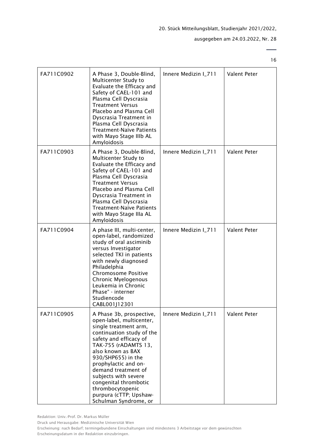# ausgegeben am 24.03.2022, Nr. 28

16

 $\overline{a}$ 

| FA711C0902 | A Phase 3, Double-Blind,<br>Multicenter Study to<br>Evaluate the Efficacy and<br>Safety of CAEL-101 and<br>Plasma Cell Dyscrasia<br><b>Treatment Versus</b><br>Placebo and Plasma Cell<br>Dyscrasia Treatment in<br>Plasma Cell Dyscrasia<br><b>Treatment-Naïve Patients</b><br>with Mayo Stage IIIb AL<br>Amyloidosis                                                         | Innere Medizin I_711 | Valent Peter        |
|------------|--------------------------------------------------------------------------------------------------------------------------------------------------------------------------------------------------------------------------------------------------------------------------------------------------------------------------------------------------------------------------------|----------------------|---------------------|
| FA711C0903 | A Phase 3, Double-Blind,<br>Multicenter Study to<br>Evaluate the Efficacy and<br>Safety of CAEL-101 and<br>Plasma Cell Dyscrasia<br><b>Treatment Versus</b><br>Placebo and Plasma Cell<br>Dyscrasia Treatment in<br>Plasma Cell Dyscrasia<br><b>Treatment-Naïve Patients</b><br>with Mayo Stage IIIa AL<br>Amyloidosis                                                         | Innere Medizin I_711 | Valent Peter        |
| FA711C0904 | A phase III, multi-center,<br>open-label, randomized<br>study of oral asciminib<br>versus Investigator<br>selected TKI in patients<br>with newly diagnosed<br>Philadelphia<br><b>Chromosome Positive</b><br>Chronic Myelogenous<br>Leukemia in Chronic<br>Phase" - interner<br>Studiencode<br>CABL001J12301                                                                    | Innere Medizin I_711 | <b>Valent Peter</b> |
| FA711C0905 | A Phase 3b, prospective,<br>open-label, multicenter,<br>single treatment arm,<br>continuation study of the<br>safety and efficacy of<br>TAK-755 (rADAMTS 13,<br>also known as BAX<br>930/SHP655) in the<br>prophylactic and on-<br>demand treatment of<br>subjects with severe<br>congenital thrombotic<br>thrombocytopenic<br>purpura (cTTP; Upshaw-<br>Schulman Syndrome, or | Innere Medizin I_711 | Valent Peter        |

Druck und Herausgabe: Medizinische Universität Wien

Erscheinung: nach Bedarf; termingebundene Einschaltungen sind mindestens 3 Arbeitstage vor dem gewünschten Erscheinungsdatum in der Redaktion einzubringen.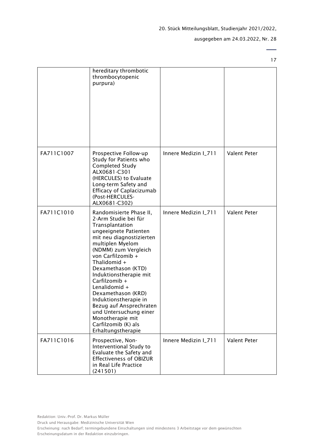ausgegeben am 24.03.2022, Nr. 28

|            | hereditary thrombotic<br>thrombocytopenic<br>purpura)                                                                                                                                                                                                                                                                                                                                                                                                             |                      |              |
|------------|-------------------------------------------------------------------------------------------------------------------------------------------------------------------------------------------------------------------------------------------------------------------------------------------------------------------------------------------------------------------------------------------------------------------------------------------------------------------|----------------------|--------------|
| FA711C1007 | Prospective Follow-up<br>Study for Patients who<br>Completed Study<br>ALX0681-C301<br>(HERCULES) to Evaluate<br>Long-term Safety and<br><b>Efficacy of Caplacizumab</b><br>(Post-HERCULES-<br>ALX0681-C302)                                                                                                                                                                                                                                                       | Innere Medizin I_711 | Valent Peter |
| FA711C1010 | Randomisierte Phase II,<br>2-Arm Studie bei für<br>Transplantation<br>ungeeignete Patienten<br>mit neu diagnostizierten<br>multiplen Myelom<br>(NDMM) zum Vergleich<br>von Carfilzomib +<br>Thalidomid $+$<br>Dexamethason (KTD)<br>Induktionstherapie mit<br>Carfilzomib +<br>Lenalidomid +<br>Dexamethason (KRD)<br>Induktionstherapie in<br>Bezug auf Ansprechraten<br>und Untersuchung einer<br>Monotherapie mit<br>Carfilzomib (K) als<br>Erhaltungstherapie | Innere Medizin I_711 | Valent Peter |
| FA711C1016 | Prospective, Non-<br>Interventional Study to<br>Evaluate the Safety and<br><b>Effectiveness of OBIZUR</b><br>in Real Life Practice<br>(241501)                                                                                                                                                                                                                                                                                                                    | Innere Medizin I_711 | Valent Peter |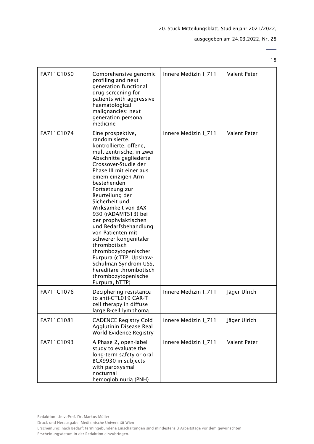ausgegeben am 24.03.2022, Nr. 28

| FA711C1050 | Comprehensive genomic<br>profiling and next<br>generation functional<br>drug screening for<br>patients with aggressive<br>haematological<br>malignancies: next<br>generation personal<br>medicine                                                                                                                                                                                                                                                                                                                                                                               | Innere Medizin I_711 | Valent Peter |
|------------|---------------------------------------------------------------------------------------------------------------------------------------------------------------------------------------------------------------------------------------------------------------------------------------------------------------------------------------------------------------------------------------------------------------------------------------------------------------------------------------------------------------------------------------------------------------------------------|----------------------|--------------|
| FA711C1074 | Eine prospektive,<br>randomisierte,<br>kontrollierte, offene,<br>multizentrische, in zwei<br>Abschnitte gegliederte<br>Crossover-Studie der<br>Phase III mit einer aus<br>einem einzigen Arm<br>bestehenden<br>Fortsetzung zur<br>Beurteilung der<br>Sicherheit und<br>Wirksamkeit von BAX<br>930 (rADAMTS13) bei<br>der prophylaktischen<br>und Bedarfsbehandlung<br>von Patienten mit<br>schwerer kongenitaler<br>thrombotisch<br>thrombozytopenischer<br>Purpura (cTTP, Upshaw-<br>Schulman-Syndrom USS,<br>hereditare thrombotisch<br>thrombozytopenische<br>Purpura, hTTP) | Innere Medizin I_711 | Valent Peter |
| FA711C1076 | Deciphering resistance<br>to anti-CTL019 CAR-T<br>cell therapy in diffuse<br>large B-cell lymphoma                                                                                                                                                                                                                                                                                                                                                                                                                                                                              | Innere Medizin I_711 | Jäger Ulrich |
| FA711C1081 | <b>CADENCE Registry Cold</b><br>Agglutinin Disease Real<br>World Evidence Registry                                                                                                                                                                                                                                                                                                                                                                                                                                                                                              | Innere Medizin I_711 | Jäger Ulrich |
| FA711C1093 | A Phase 2, open-label<br>study to evaluate the<br>long-term safety or oral<br>BCX9930 in subjects<br>with paroxysmal<br>nocturnal<br>hemoglobinuria (PNH)                                                                                                                                                                                                                                                                                                                                                                                                                       | Innere Medizin I_711 | Valent Peter |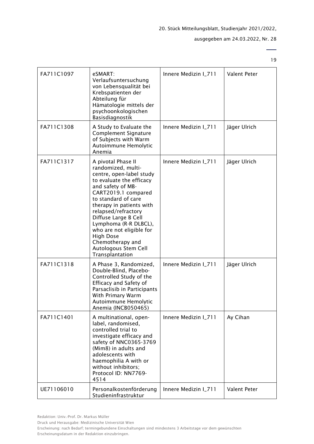# ausgegeben am 24.03.2022, Nr. 28

19

| FA711C1097 | eSMART:<br>Verlaufsuntersuchung<br>von Lebensqualität bei<br>Krebspatienten der<br>Abteilung für<br>Hämatologie mittels der<br>psychoonkologischen<br>Basisdiagnostik                                                                                                                                                                                                                  | Innere Medizin I_711 | Valent Peter |
|------------|----------------------------------------------------------------------------------------------------------------------------------------------------------------------------------------------------------------------------------------------------------------------------------------------------------------------------------------------------------------------------------------|----------------------|--------------|
| FA711C1308 | A Study to Evaluate the<br><b>Complement Signature</b><br>of Subjects with Warm<br>Autoimmune Hemolytic<br>Anemia                                                                                                                                                                                                                                                                      | Innere Medizin I_711 | Jäger Ulrich |
| FA711C1317 | A pivotal Phase II<br>randomized, multi-<br>centre, open-label study<br>to evaluate the efficacy<br>and safety of MB-<br>CART2019.1 compared<br>to standard of care<br>therapy in patients with<br>relapsed/refractory<br>Diffuse Large B Cell<br>Lymphoma (R-R DLBCL),<br>who are not eligible for<br><b>High Dose</b><br>Chemotherapy and<br>Autologous Stem Cell<br>Transplantation | Innere Medizin I_711 | Jäger Ulrich |
| FA711C1318 | A Phase 3, Randomized,<br>Double-Blind, Placebo-<br>Controlled Study of the<br>Efficacy and Safety of<br>Parsaclisib in Participants<br>With Primary Warm<br>Autoimmune Hemolytic<br>Anemia (INCB050465)                                                                                                                                                                               | Innere Medizin I_711 | Jäger Ulrich |
| FA711C1401 | A multinational, open-<br>label, randomised,<br>controlled trial to<br>investigate efficacy and<br>safety of NNC0365-3769<br>(Mim8) in adults and<br>adolescents with<br>haemophilia A with or<br>without inhibitors;<br>Protocol ID: NN7769-<br>4514                                                                                                                                  | Innere Medizin I_711 | Ay Cihan     |
| UE71106010 | Personalkostenförderung<br>Studieninfrastruktur                                                                                                                                                                                                                                                                                                                                        | Innere Medizin I_711 | Valent Peter |

Druck und Herausgabe: Medizinische Universität Wien

Erscheinung: nach Bedarf; termingebundene Einschaltungen sind mindestens 3 Arbeitstage vor dem gewünschten Erscheinungsdatum in der Redaktion einzubringen.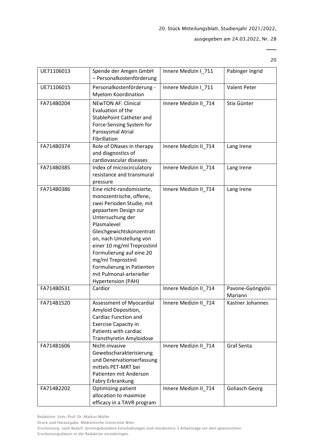20

| UE71106013 | Spende der Amgen GmbH<br>- Personalkostenförderung                                                                                                                                                                                                                                                                                                                   | Innere Medizin I_711  | Pabinger Ingrid             |
|------------|----------------------------------------------------------------------------------------------------------------------------------------------------------------------------------------------------------------------------------------------------------------------------------------------------------------------------------------------------------------------|-----------------------|-----------------------------|
| UE71106015 | Personalkostenförderung -<br><b>Myelom Koordination</b>                                                                                                                                                                                                                                                                                                              | Innere Medizin I_711  | Valent Peter                |
| FA714B0204 | <b>NEWTON AF: Clinical</b><br>Evaluation of the<br>StablePoint Catheter and<br>Force-Sensing System for<br>Paroxysmal Atrial<br>Fibrillation                                                                                                                                                                                                                         | Innere Medizin II_714 | Stix Günter                 |
| FA714B0374 | Role of DNases in therapy<br>and diagnostics of<br>cardiovascular diseases                                                                                                                                                                                                                                                                                           | Innere Medizin II_714 | Lang Irene                  |
| FA714B0385 | Index of microcirculatory<br>resistance and transmural<br>pressure                                                                                                                                                                                                                                                                                                   | Innere Medizin II_714 | Lang Irene                  |
| FA714B0386 | Eine nicht-randomisierte,<br>monozentrische, offene,<br>zwei Perioden Studie, mit<br>gepaartem Design zur<br>Untersuchung der<br>Plasmalevel<br>Gleichgewichtskonzentrati<br>on, nach Umstellung von<br>einer 10 mg/ml Treprostinil<br>Formulierung auf eine 20<br>mg/ml Treprostinil<br>Formulierung in Patienten<br>mit Pulmonal-arterieller<br>Hypertension (PAH) | Innere Medizin II_714 | Lang Irene                  |
| FA714B0531 | Cardior                                                                                                                                                                                                                                                                                                                                                              | Innere Medizin II_714 | Pavone-Gyöngyösi<br>Mariann |
| FA714B1520 | Assessment of Myocardial<br>Amyloid Deposition,<br><b>Cardiac Function and</b><br><b>Exercise Capacity in</b><br>Patients with cardiac<br>Transthyretin Amyloidose                                                                                                                                                                                                   | Innere Medizin II_714 | Kastner Johannes            |
| FA714B1606 | Nicht-invasive<br>Gewebscharakterisierung<br>und Denervationserfassung<br>mittels PET-MRT bei<br>Patienten mit Anderson<br>Fabry Erkrankung                                                                                                                                                                                                                          | Innere Medizin II_714 | Graf Senta                  |
| FA714B2202 | <b>Optimizing patient</b><br>allocation to maximize<br>efficacy in a TAVR program                                                                                                                                                                                                                                                                                    | Innere Medizin II_714 | <b>Goliasch Georg</b>       |

Redaktion: Univ.-Prof. Dr. Markus Müller

Druck und Herausgabe: Medizinische Universität Wien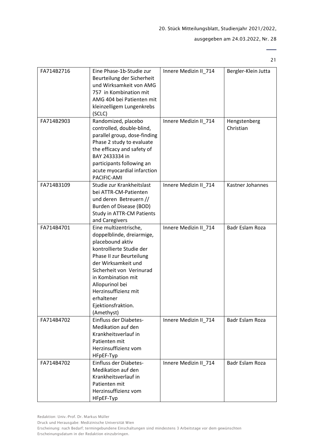# ausgegeben am 24.03.2022, Nr. 28

21

 $\overline{\phantom{0}}$ 

| FA714B2716 | Eine Phase-1b-Studie zur<br>Beurteilung der Sicherheit<br>und Wirksamkeit von AMG<br>757 in Kombination mit<br>AMG 404 bei Patienten mit<br>kleinzelligem Lungenkrebs<br>(SCLC)                                                                                                                      | Innere Medizin II_714 | Bergler-Klein Jutta       |
|------------|------------------------------------------------------------------------------------------------------------------------------------------------------------------------------------------------------------------------------------------------------------------------------------------------------|-----------------------|---------------------------|
| FA714B2903 | Randomized, placebo<br>controlled, double-blind,<br>parallel group, dose-finding<br>Phase 2 study to evaluate<br>the efficacy and safety of<br>BAY 2433334 in<br>participants following an<br>acute myocardial infarction<br>PACIFIC-AMI                                                             | Innere Medizin II_714 | Hengstenberg<br>Christian |
| FA714B3109 | Studie zur Krankheitslast<br>bei ATTR-CM-Patienten<br>und deren Betreuern //<br>Burden of Disease (BOD)<br><b>Study in ATTR-CM Patients</b><br>and Caregivers                                                                                                                                        | Innere Medizin II 714 | Kastner Johannes          |
| FA714B4701 | Eine multizentrische,<br>doppelblinde, dreiarmige,<br>placebound aktiv<br>kontrollierte Studie der<br>Phase II zur Beurteilung<br>der Wirksamkeit und<br>Sicherheit von Verinurad<br>in Kombination mit<br>Allopurinol bei<br>Herzinsuffizienz mit<br>erhaltener<br>Ejektionsfraktion.<br>(Amethyst) | Innere Medizin II_714 | Badr Eslam Roza           |
| FA714B4702 | Einfluss der Diabetes-<br>Medikation auf den<br>Krankheitsverlauf in<br>Patienten mit<br>Herzinsuffizienz vom<br>HFpEF-Typ                                                                                                                                                                           | Innere Medizin II_714 | <b>Badr Eslam Roza</b>    |
| FA714B4702 | Einfluss der Diabetes-<br>Medikation auf den<br>Krankheitsverlauf in<br>Patienten mit<br>Herzinsuffizienz vom<br>HFpEF-Typ                                                                                                                                                                           | Innere Medizin II_714 | Badr Eslam Roza           |

Redaktion: Univ.-Prof. Dr. Markus Müller

Druck und Herausgabe: Medizinische Universität Wien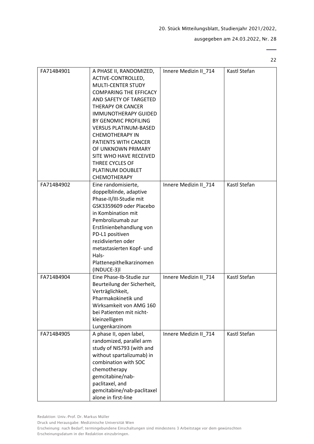ausgegeben am 24.03.2022, Nr. 28

 $\overline{\phantom{0}}$ 22

| FA714B4901 | A PHASE II, RANDOMIZED,<br>ACTIVE-CONTROLLED,<br><b>MULTI-CENTER STUDY</b><br><b>COMPARING THE EFFICACY</b><br>AND SAFETY OF TARGETED<br><b>THERAPY OR CANCER</b><br><b>IMMUNOTHERAPY GUIDED</b><br>BY GENOMIC PROFILING<br><b>VERSUS PLATINUM-BASED</b><br><b>CHEMOTHERAPY IN</b><br><b>PATIENTS WITH CANCER</b><br>OF UNKNOWN PRIMARY<br>SITE WHO HAVE RECEIVED<br>THREE CYCLES OF<br>PLATINUM DOUBLET<br><b>CHEMOTHERAPY</b> | Innere Medizin II_714 | Kastl Stefan |
|------------|---------------------------------------------------------------------------------------------------------------------------------------------------------------------------------------------------------------------------------------------------------------------------------------------------------------------------------------------------------------------------------------------------------------------------------|-----------------------|--------------|
| FA714B4902 | Eine randomisierte,<br>doppelblinde, adaptive<br>Phase-II/III-Studie mit<br>GSK3359609 oder Placebo<br>in Kombination mit<br>Pembrolizumab zur<br>Erstlinienbehandlung von<br>PD-L1 positiven<br>rezidivierten oder<br>metastasierten Kopf- und<br>Hals-<br>Plattenepithelkarzinomen<br>(INDUCE-3)I                                                                                                                             | Innere Medizin II 714 | Kastl Stefan |
| FA714B4904 | Eine Phase-Ib-Studie zur<br>Beurteilung der Sicherheit,<br>Verträglichkeit,<br>Pharmakokinetik und<br>Wirksamkeit von AMG 160<br>bei Patienten mit nicht-<br>kleinzelligem<br>Lungenkarzinom                                                                                                                                                                                                                                    | Innere Medizin II 714 | Kastl Stefan |
| FA714B4905 | A phase II, open label,<br>randomized, parallel arm<br>study of NIS793 (with and<br>without spartalizumab) in<br>combination with SOC<br>chemotherapy<br>gemcitabine/nab-<br>paclitaxel, and<br>gemcitabine/nab-paclitaxel<br>alone in first-line                                                                                                                                                                               | Innere Medizin II 714 | Kastl Stefan |

Redaktion: Univ.-Prof. Dr. Markus Müller

Druck und Herausgabe: Medizinische Universität Wien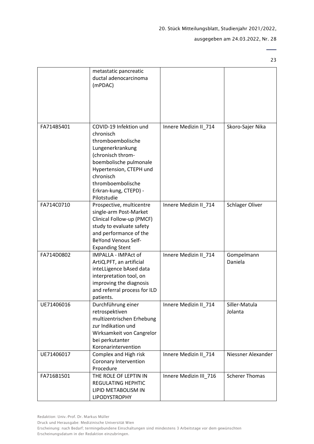ausgegeben am 24.03.2022, Nr. 28

 $\overline{\phantom{0}}$ 23

|            | metastatic pancreatic<br>ductal adenocarcinoma<br>(mPDAC)                                                                                                                                                                        |                        |                          |
|------------|----------------------------------------------------------------------------------------------------------------------------------------------------------------------------------------------------------------------------------|------------------------|--------------------------|
| FA714B5401 | COVID-19 Infektion und<br>chronisch<br>thromboembolische<br>Lungenerkrankung<br>(chronisch throm-<br>boembolische pulmonale<br>Hypertension, CTEPH und<br>chronisch<br>thromboembolische<br>Erkran-kung, CTEPD) -<br>Pilotstudie | Innere Medizin II_714  | Skoro-Sajer Nika         |
| FA714C0710 | Prospective, multicentre<br>single-arm Post-Market<br>Clinical Follow-up (PMCF)<br>study to evaluate safety<br>and performance of the<br><b>BeYond Venous Self-</b><br><b>Expanding Stent</b>                                    | Innere Medizin II_714  | Schlager Oliver          |
| FA714D0802 | IMPALLA - IMPAct of<br>ArtiQ.PFT, an artificial<br>inteLLigence bAsed data<br>interpretation tool, on<br>improving the diagnosis<br>and referral process for ILD<br>patients.                                                    | Innere Medizin II_714  | Gompelmann<br>Daniela    |
| UE71406016 | Durchführung einer<br>retrospektiven<br>multizentrischen Erhebung<br>zur Indikation und<br>Wirksamkeit von Cangrelor<br>bei perkutanter<br>Koronarintervention                                                                   | Innere Medizin II_714  | Siller-Matula<br>Jolanta |
| UE71406017 | Complex and High risk<br>Coronary Intervention<br>Procedure                                                                                                                                                                      | Innere Medizin II 714  | Niessner Alexander       |
| FA716B1501 | THE ROLE OF LEPTIN IN<br><b>REGULATING HEPHTIC</b><br>LIPID METABOLISM IN<br><b>LIPODYSTROPHY</b>                                                                                                                                | Innere Medizin III_716 | <b>Scherer Thomas</b>    |

Druck und Herausgabe: Medizinische Universität Wien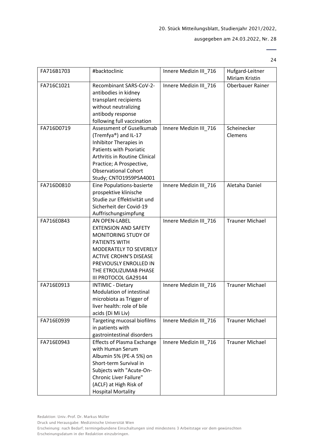# ausgegeben am 24.03.2022, Nr. 28

24

| FA716B1703 | #backtoclinic                     | Innere Medizin III 716 | Hufgard-Leitner         |
|------------|-----------------------------------|------------------------|-------------------------|
|            |                                   |                        | Miriam Kristin          |
| FA716C1021 | Recombinant SARS-CoV-2-           | Innere Medizin III_716 | <b>Oberbauer Rainer</b> |
|            | antibodies in kidney              |                        |                         |
|            | transplant recipients             |                        |                         |
|            | without neutralizing              |                        |                         |
|            | antibody response                 |                        |                         |
|            | following full vaccination        |                        |                         |
| FA716D0719 | Assessment of Guselkumab          | Innere Medizin III_716 | Scheinecker             |
|            | (Tremfya®) and IL-17              |                        | Clemens                 |
|            | Inhibitor Therapies in            |                        |                         |
|            | <b>Patients with Psoriatic</b>    |                        |                         |
|            | Arthritis in Routine Clinical     |                        |                         |
|            | Practice; A Prospective,          |                        |                         |
|            | <b>Observational Cohort</b>       |                        |                         |
|            |                                   |                        |                         |
|            | Study; CNTO1959PSA4001            |                        | Aletaha Daniel          |
| FA716D0810 | Eine Populations-basierte         | Innere Medizin III 716 |                         |
|            | prospektive klinische             |                        |                         |
|            | Studie zur Effektivität und       |                        |                         |
|            | Sicherheit der Covid-19           |                        |                         |
|            | Auffrischungsimpfung              |                        |                         |
| FA716E0843 | AN OPEN-LABEL                     | Innere Medizin III_716 | <b>Trauner Michael</b>  |
|            | <b>EXTENSION AND SAFETY</b>       |                        |                         |
|            | MONITORING STUDY OF               |                        |                         |
|            | PATIENTS WITH                     |                        |                         |
|            | MODERATELY TO SEVERELY            |                        |                         |
|            | <b>ACTIVE CROHN'S DISEASE</b>     |                        |                         |
|            | PREVIOUSLY ENROLLED IN            |                        |                         |
|            | THE ETROLIZUMAB PHASE             |                        |                         |
|            | III PROTOCOL GA29144              |                        |                         |
| FA716E0913 | <b>INTIMIC - Dietary</b>          | Innere Medizin III_716 | <b>Trauner Michael</b>  |
|            | Modulation of intestinal          |                        |                         |
|            | microbiota as Trigger of          |                        |                         |
|            | liver health: role of bile        |                        |                         |
|            | acids (Di Mi Liv)                 |                        |                         |
| FA716E0939 | Targeting mucosal biofilms        | Innere Medizin III 716 | <b>Trauner Michael</b>  |
|            | in patients with                  |                        |                         |
|            | gastrointestinal disorders        |                        |                         |
| FA716E0943 | <b>Effects of Plasma Exchange</b> | Innere Medizin III_716 | <b>Trauner Michael</b>  |
|            | with Human Serum                  |                        |                         |
|            |                                   |                        |                         |
|            | Albumin 5% (PE-A 5%) on           |                        |                         |
|            | Short-term Survival in            |                        |                         |
|            | Subjects with "Acute-On-          |                        |                         |
|            | Chronic Liver Failure"            |                        |                         |
|            | (ACLF) at High Risk of            |                        |                         |
|            | <b>Hospital Mortality</b>         |                        |                         |

Druck und Herausgabe: Medizinische Universität Wien

Erscheinung: nach Bedarf; termingebundene Einschaltungen sind mindestens 3 Arbeitstage vor dem gewünschten Erscheinungsdatum in der Redaktion einzubringen.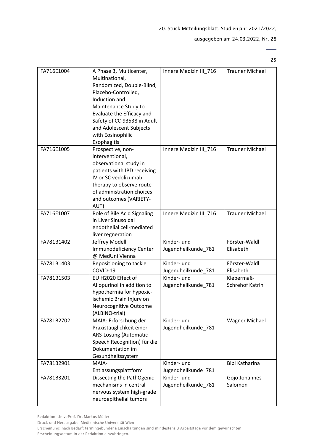25

| FA716E1004 | A Phase 3, Multicenter,<br>Multinational,<br>Randomized, Double-Blind,<br>Placebo-Controlled,<br>Induction and<br>Maintenance Study to<br>Evaluate the Efficacy and<br>Safety of CC-93538 in Adult<br>and Adolescent Subjects<br>with Eosinophilic<br>Esophagitis | Innere Medizin III_716             | <b>Trauner Michael</b>        |
|------------|-------------------------------------------------------------------------------------------------------------------------------------------------------------------------------------------------------------------------------------------------------------------|------------------------------------|-------------------------------|
| FA716E1005 | Prospective, non-<br>interventional,<br>observational study in<br>patients with IBD receiving<br>IV or SC vedolizumab<br>therapy to observe route<br>of administration choices<br>and outcomes (VARIETY-<br>AUT)                                                  | Innere Medizin III_716             | <b>Trauner Michael</b>        |
| FA716E1007 | Role of Bile Acid Signaling<br>in Liver Sinusoidal<br>endothelial cell-mediated<br>liver regneration                                                                                                                                                              | Innere Medizin III_716             | <b>Trauner Michael</b>        |
| FA781B1402 | Jeffrey Modell<br>Immunodeficiency Center<br>@ MedUni Vienna                                                                                                                                                                                                      | Kinder- und<br>Jugendheilkunde_781 | Förster-Waldl<br>Elisabeth    |
| FA781B1403 | Repositioning to tackle<br>COVID-19                                                                                                                                                                                                                               | Kinder- und<br>Jugendheilkunde_781 | Förster-Waldl<br>Elisabeth    |
| FA781B1503 | EU H2020 Effect of<br>Allopurinol in addition to<br>hypothermia for hypoxic-<br>ischemic Brain Injury on<br>Neurocognitive Outcome<br>(ALBINO-trial)                                                                                                              | Kinder- und<br>Jugendheilkunde 781 | Klebermaß-<br>Schrehof Katrin |
| FA781B2702 | MAIA: Erforschung der<br>Praxistauglichkeit einer<br>ARS-Lösung (Automatic<br>Speech Recognition) für die<br>Dokumentation im<br>Gesundheitssystem                                                                                                                | Kinder- und<br>Jugendheilkunde_781 | <b>Wagner Michael</b>         |
| FA781B2901 | MAIA-<br>Entlassungsplattform                                                                                                                                                                                                                                     | Kinder- und<br>Jugendheilkunde_781 | <b>Bibl Katharina</b>         |
| FA781B3201 | Dissecting the PathOgenic<br>mechanisms in central<br>nervous system high-grade<br>neuroepithelial tumors                                                                                                                                                         | Kinder- und<br>Jugendheilkunde_781 | Gojo Johannes<br>Salomon      |

Druck und Herausgabe: Medizinische Universität Wien

Erscheinung: nach Bedarf; termingebundene Einschaltungen sind mindestens 3 Arbeitstage vor dem gewünschten Erscheinungsdatum in der Redaktion einzubringen.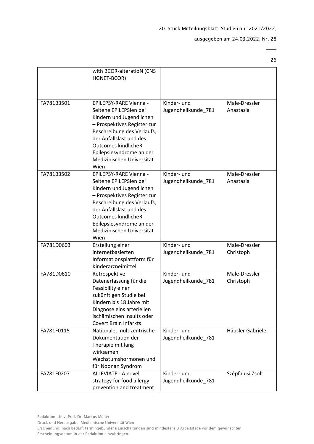$\overline{\phantom{0}}$ 26

|            | with BCOR-alteratioN (CNS<br>HGNET-BCOR)                                                                                                                                                                                                                            |                                    |                            |
|------------|---------------------------------------------------------------------------------------------------------------------------------------------------------------------------------------------------------------------------------------------------------------------|------------------------------------|----------------------------|
| FA781B3501 | EPILEPSY-RARE Vienna -<br>Seltene EPILEPSIen bei<br>Kindern und Jugendlichen<br>- Prospektives Register zur<br>Beschreibung des Verlaufs,<br>der Anfallslast und des<br>Outcomes kindlicheR<br>Epilepsiesyndrome an der<br>Medizinischen Universität<br>Wien        | Kinder- und<br>Jugendheilkunde_781 | Male-Dressler<br>Anastasia |
| FA781B3502 | EPILEPSY-RARE Vienna -<br>Seltene EPILEPSIen bei<br>Kindern und Jugendlichen<br>- Prospektives Register zur<br>Beschreibung des Verlaufs,<br>der Anfallslast und des<br><b>Outcomes kindlicheR</b><br>Epilepsiesyndrome an der<br>Medizinischen Universität<br>Wien | Kinder- und<br>Jugendheilkunde_781 | Male-Dressler<br>Anastasia |
| FA781D0603 | Erstellung einer<br>internetbasierten<br>Informationsplattform für<br>Kinderarzneimittel                                                                                                                                                                            | Kinder- und<br>Jugendheilkunde_781 | Male-Dressler<br>Christoph |
| FA781D0610 | Retrospektive<br>Datenerfassung für die<br>Feasibility einer<br>zukünftigen Studie bei<br>Kindern bis 18 Jahre mit<br>Diagnose eins arteriellen<br>ischämischen Insults oder<br><b>Covert Brain Infarkts</b>                                                        | Kinder- und<br>Jugendheilkunde_781 | Male-Dressler<br>Christoph |
| FA781F0115 | Nationale, multizentrische<br>Dokumentation der<br>Therapie mit lang<br>wirksamen<br>Wachstumshormonen und<br>für Noonan Syndrom                                                                                                                                    | Kinder- und<br>Jugendheilkunde_781 | Häusler Gabriele           |
| FA781F0207 | ALLEVIATE - A novel<br>strategy for food allergy<br>prevention and treatment                                                                                                                                                                                        | Kinder- und<br>Jugendheilkunde_781 | Szépfalusi Zsolt           |

Druck und Herausgabe: Medizinische Universität Wien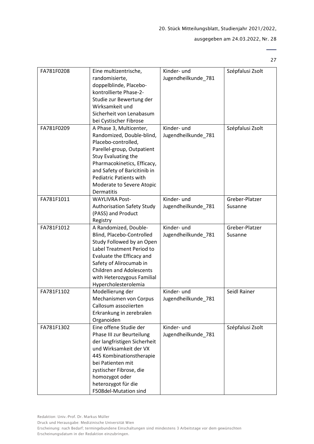# ausgegeben am 24.03.2022, Nr. 28

27

 $\overline{\phantom{0}}$ 

| FA781F0208 | Eine multizentrische,<br>randomisierte,<br>doppelblinde, Placebo-<br>kontrollierte Phase-2-<br>Studie zur Bewertung der<br>Wirksamkeit und<br>Sicherheit von Lenabasum<br>bei Cystischer Fibrose                                                                             | Kinder- und<br>Jugendheilkunde_781 | Szépfalusi Zsolt          |
|------------|------------------------------------------------------------------------------------------------------------------------------------------------------------------------------------------------------------------------------------------------------------------------------|------------------------------------|---------------------------|
| FA781F0209 | A Phase 3, Multicenter,<br>Randomized, Double-blind,<br>Placebo-controlled,<br>Parellel-group, Outpatient<br>Stuy Evaluating the<br>Pharmacokinetics, Efficacy,<br>and Safety of Baricitinib in<br><b>Pediatric Patients with</b><br>Moderate to Severe Atopic<br>Dermatitis | Kinder- und<br>Jugendheilkunde_781 | Szépfalusi Zsolt          |
| FA781F1011 | <b>WAYLIVRA Post-</b><br><b>Authorisation Safety Study</b><br>(PASS) and Product<br>Registry                                                                                                                                                                                 | Kinder- und<br>Jugendheilkunde_781 | Greber-Platzer<br>Susanne |
| FA781F1012 | A Randomized, Double-<br>Blind, Placebo-Controlled<br>Study Followed by an Open<br>Label Treatment Period to<br>Evaluate the Efficacy and<br>Safety of Alirocumab in<br><b>Children and Adolescents</b><br>with Heterozygous Familial<br>Hypercholesterolemia                | Kinder- und<br>Jugendheilkunde_781 | Greber-Platzer<br>Susanne |
| FA781F1102 | Modellierung der<br>Mechanismen von Corpus<br>Callosum assoziierten<br>Erkrankung in zerebralen<br>Organoiden                                                                                                                                                                | Kinder- und<br>Jugendheilkunde_781 | Seidl Rainer              |
| FA781F1302 | Eine offene Studie der<br>Phase III zur Beurteilung<br>der langfristigen Sicherheit<br>und Wirksamkeit der VX<br>445 Kombinationstherapie<br>bei Patienten mit<br>zystischer Fibrose, die<br>homozygot oder<br>heterozygot für die<br>F508del-Mutation sind                  | Kinder- und<br>Jugendheilkunde_781 | Szépfalusi Zsolt          |

Erscheinungsdatum in der Redaktion einzubringen.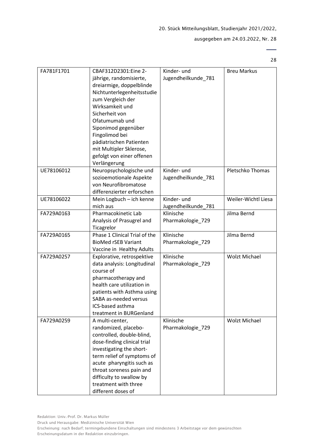# ausgegeben am 24.03.2022, Nr. 28

28

| FA781F1701 | CBAF312D2301:Eine 2-<br>jährige, randomisierte,<br>dreiarmige, doppelblinde<br>Nichtunterlegenheitsstudie<br>zum Vergleich der<br>Wirksamkeit und<br>Sicherheit von<br>Ofatumumab und<br>Siponimod gegenüber<br>Fingolimod bei<br>pädiatrischen Patienten<br>mit Multipler Sklerose,<br>gefolgt von einer offenen<br>Verlängerung | Kinder- und<br>Jugendheilkunde_781 | <b>Breu Markus</b>   |
|------------|-----------------------------------------------------------------------------------------------------------------------------------------------------------------------------------------------------------------------------------------------------------------------------------------------------------------------------------|------------------------------------|----------------------|
| UE78106012 | Neuropsychologische und<br>sozioemotionale Aspekte<br>von Neurofibromatose<br>differenzierter erforschen                                                                                                                                                                                                                          | Kinder- und<br>Jugendheilkunde_781 | Pletschko Thomas     |
| UE78106022 | Mein Logbuch - ich kenne<br>mich aus                                                                                                                                                                                                                                                                                              | Kinder- und<br>Jugendheilkunde_781 | Weiler-Wichtl Liesa  |
| FA729A0163 | Pharmacokinetic Lab<br>Analysis of Prasugrel and<br>Ticagrelor                                                                                                                                                                                                                                                                    | Klinische<br>Pharmakologie_729     | Jilma Bernd          |
| FA729A0165 | Phase 1 Clinical Trial of the<br><b>BioMed rSEB Variant</b><br>Vaccine in Healthy Adults                                                                                                                                                                                                                                          | Klinische<br>Pharmakologie_729     | Jilma Bernd          |
| FA729A0257 | Explorative, retrospektive<br>data analysis: Longitudinal<br>course of<br>pharmacotherapy and<br>health care utilization in<br>patients with Asthma using<br>SABA as-needed versus<br>ICS-based asthma<br>treatment in BURGenland                                                                                                 | Klinische<br>Pharmakologie_729     | <b>Wolzt Michael</b> |
| FA729A0259 | A multi-center,<br>randomized, placebo-<br>controlled, double-blind,<br>dose-finding clinical trial<br>investigating the short-<br>term relief of symptoms of<br>acute pharyngitis such as<br>throat soreness pain and<br>difficulty to swallow by<br>treatment with three<br>different doses of                                  | Klinische<br>Pharmakologie_729     | <b>Wolzt Michael</b> |

Druck und Herausgabe: Medizinische Universität Wien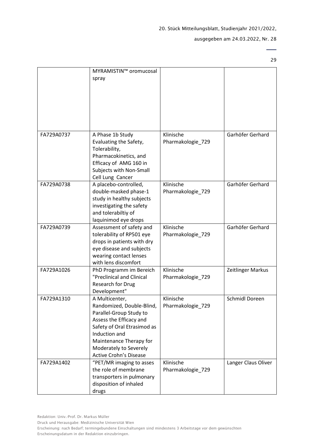$\overline{\phantom{0}}$ 29

|            | MYRAMISTIN™ oromucosal<br>spray                                                                                                                                                                                                         |                                |                     |
|------------|-----------------------------------------------------------------------------------------------------------------------------------------------------------------------------------------------------------------------------------------|--------------------------------|---------------------|
| FA729A0737 | A Phase 1b Study<br>Evaluating the Safety,<br>Tolerability,<br>Pharmacokinetics, and<br>Efficacy of AMG 160 in<br>Subjects with Non-Small<br>Cell Lung Cancer                                                                           | Klinische<br>Pharmakologie_729 | Garhöfer Gerhard    |
| FA729A0738 | A placebo-controlled,<br>double-masked phase-1<br>study in healthy subjects<br>investigating the safety<br>and tolerabiltiy of<br>laquinimod eye drops                                                                                  | Klinische<br>Pharmakologie_729 | Garhöfer Gerhard    |
| FA729A0739 | Assessment of safety and<br>tolerability of RP501 eye<br>drops in patients with dry<br>eye disease and subjects<br>wearing contact lenses<br>with lens discomfort                                                                       | Klinische<br>Pharmakologie_729 | Garhöfer Gerhard    |
| FA729A1026 | PhD Programm im Bereich<br>"Preclinical and Clinical<br>Research for Drug<br>Development"                                                                                                                                               | Klinische<br>Pharmakologie 729 | Zeitlinger Markus   |
| FA729A1310 | A Multicenter,<br>Randomized, Double-Blind,<br>Parallel-Group Study to<br>Assess the Efficacy and<br>Safety of Oral Etrasimod as<br>Induction and<br>Maintenance Therapy for<br>Moderately to Severely<br><b>Active Crohn's Disease</b> | Klinische<br>Pharmakologie_729 | Schmidl Doreen      |
| FA729A1402 | "PET/MR imaging to asses<br>the role of membrane<br>transporters in pulmonary<br>disposition of inhaled<br>drugs                                                                                                                        | Klinische<br>Pharmakologie_729 | Langer Claus Oliver |

Druck und Herausgabe: Medizinische Universität Wien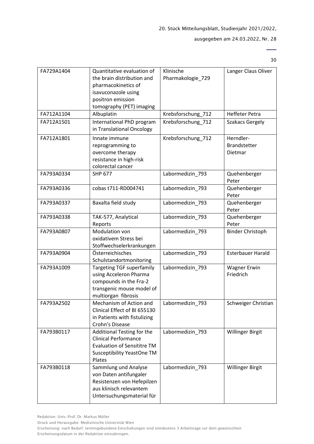30

 $\overline{a}$ 

| FA729A1404 | Quantitative evaluation of         | Klinische          | Langer Claus Oliver      |
|------------|------------------------------------|--------------------|--------------------------|
|            | the brain distribution and         | Pharmakologie_729  |                          |
|            | pharmacokinetics of                |                    |                          |
|            | isavuconazole using                |                    |                          |
|            | positron emission                  |                    |                          |
|            | tomography (PET) imaging           |                    |                          |
| FA712A1104 | Albuplatin                         | Krebsforschung_712 | <b>Heffeter Petra</b>    |
| FA712A1501 | International PhD program          | Krebsforschung 712 | <b>Szakacs Gergely</b>   |
|            | in Translational Oncology          |                    |                          |
| FA712A1801 | Innate immune                      | Krebsforschung_712 | Herndler-                |
|            | reprogramming to                   |                    | <b>Brandstetter</b>      |
|            | overcome therapy                   |                    | Dietmar                  |
|            | resistance in high-risk            |                    |                          |
|            | colorectal cancer                  |                    |                          |
| FA793A0334 | <b>SHP 677</b>                     | Labormedizin 793   | Quehenberger             |
|            |                                    |                    | Peter                    |
| FA793A0336 | cobas t711-RD004741                | Labormedizin 793   | Quehenberger             |
|            |                                    |                    | Peter                    |
| FA793A0337 | Baxalta field study                | Labormedizin 793   | Quehenberger             |
| FA793A0338 |                                    | Labormedizin_793   | Peter<br>Quehenberger    |
|            | TAK-577, Analytical<br>Reports     |                    | Peter                    |
| FA793A0807 | Modulation von                     | Labormedizin_793   | <b>Binder Christoph</b>  |
|            | oxidativem Stress bei              |                    |                          |
|            | Stoffwechselerkrankungen           |                    |                          |
| FA793A0904 | Österreichisches                   | Labormedizin_793   | <b>Esterbauer Harald</b> |
|            | Schulstandortmonitoring            |                    |                          |
| FA793A1009 | <b>Targeting TGF superfamily</b>   | Labormedizin_793   | <b>Wagner Erwin</b>      |
|            | using Acceleron Pharma             |                    | Friedrich                |
|            | compounds in the Fra-2             |                    |                          |
|            | transgenic mouse model of          |                    |                          |
|            | multiorgan fibrosis                |                    |                          |
| FA793A2502 | Mechanism of Action and            | Labormedizin 793   | Schweiger Christian      |
|            | Clinical Effect of BI 655130       |                    |                          |
|            | in Patients with fistulizing       |                    |                          |
|            | Crohn's Disease                    |                    |                          |
| FA793B0117 | Additional Testing for the         | Labormedizin_793   | <b>Willinger Birgit</b>  |
|            | <b>Clinical Performance</b>        |                    |                          |
|            | <b>Evaluation of Sensititre TM</b> |                    |                          |
|            | <b>Susceptibility YeastOne TM</b>  |                    |                          |
|            | Plates                             |                    |                          |
| FA793B0118 | Sammlung und Analyse               | Labormedizin 793   | <b>Willinger Birgit</b>  |
|            | von Daten antifungaler             |                    |                          |
|            | Resistenzen von Hefepilzen         |                    |                          |
|            | aus klinisch relevantem            |                    |                          |
|            | Untersuchungsmaterial für          |                    |                          |

Redaktion: Univ.-Prof. Dr. Markus Müller

Druck und Herausgabe: Medizinische Universität Wien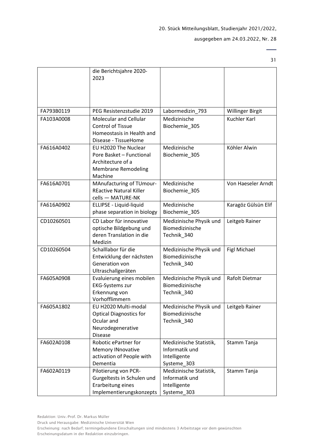31

 $\overline{\phantom{0}}$ 

|            | die Berichtsjahre 2020-<br>2023                                                                                |                                                                          |                         |
|------------|----------------------------------------------------------------------------------------------------------------|--------------------------------------------------------------------------|-------------------------|
| FA793B0119 | PEG Resistenzstudie 2019                                                                                       | Labormedizin_793                                                         | <b>Willinger Birgit</b> |
| FA103A0008 | <b>Molecular and Cellular</b><br><b>Control of Tissue</b><br>Homeostasis in Health and<br>Disease - TissueHome | Medizinische<br>Biochemie_305                                            | Kuchler Karl            |
| FA616A0402 | EU H2020 The Nuclear<br>Pore Basket - Functional<br>Architecture of a<br><b>Membrane Remodeling</b><br>Machine | Medizinische<br>Biochemie_305                                            | Köhler Alwin            |
| FA616A0701 | MAnufacturing of TUmour-<br><b>REactive Natural Killer</b><br>cells - MATURE-NK                                | Medizinische<br>Biochemie 305                                            | Von Haeseler Arndt      |
| FA616A0902 | ELLIPSE - Liquid-liquid<br>phase separation in biology                                                         | Medizinische<br>Biochemie_305                                            | Karagöz Gülsün Elif     |
| CD10260501 | CD Labor für innovative<br>optische Bildgebung und<br>deren Translation in die<br>Medizin                      | Medizinische Physik und<br>Biomedizinische<br>Technik_340                | Leitgeb Rainer          |
| CD10260504 | Schalllabor für die<br>Entwicklung der nächsten<br>Generation von<br>Ultraschallgeräten                        | Medizinische Physik und<br>Biomedizinische<br>Technik_340                | <b>Figl Michael</b>     |
| FA605A0908 | Evaluierung eines mobilen<br><b>EKG-Systems zur</b><br>Erkennung von<br>Vorhofflimmern                         | Medizinische Physik und<br>Biomedizinische<br>Technik_340                | Rafolt Dietmar          |
| FA605A1802 | EU H2020 Multi-modal<br><b>Optical Diagnostics for</b><br>Ocular and<br>Neurodegenerative<br><b>Disease</b>    | Medizinische Physik und<br>Biomedizinische<br>Technik_340                | Leitgeb Rainer          |
| FA602A0108 | Robotic ePartner for<br><b>Memory INnovative</b><br>activation of People with<br>Dementia                      | Medizinische Statistik,<br>Informatik und<br>Intelligente<br>Systeme_303 | Stamm Tanja             |
| FA602A0119 | Pilotierung von PCR-<br>Gurgeltests in Schulen und<br>Erarbeitung eines<br>Implementierungskonzepts            | Medizinische Statistik,<br>Informatik und<br>Intelligente<br>Systeme_303 | Stamm Tanja             |

Redaktion: Univ.-Prof. Dr. Markus Müller

Druck und Herausgabe: Medizinische Universität Wien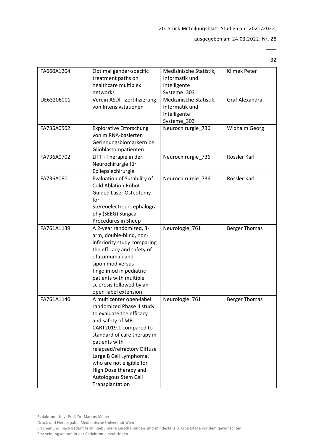| FA660A1204 | Optimal gender-specific<br>treatment paths on<br>healthcare multiplex<br>networks                                                                                                                                                                                                                                                         | Medizinische Statistik,<br>Informatik und<br>Intelligente<br>Systeme_303 | Klimek Peter         |
|------------|-------------------------------------------------------------------------------------------------------------------------------------------------------------------------------------------------------------------------------------------------------------------------------------------------------------------------------------------|--------------------------------------------------------------------------|----------------------|
| UE63206001 | Verein ASDI - Zertifizierung<br>von Intensivstationen                                                                                                                                                                                                                                                                                     | Medizinische Statistik,<br>Informatik und<br>Intelligente<br>Systeme_303 | Graf Alexandra       |
| FA736A0502 | <b>Explorative Erforschung</b><br>von miRNA-basierten<br>Gerinnungsbiomarkern bei<br>Glioblastompatienten                                                                                                                                                                                                                                 | Neurochirurgie_736                                                       | Widhalm Georg        |
| FA736A0702 | LITT - Therapie in der<br>Neurochirurgie für<br>Epilepsiechirurgie                                                                                                                                                                                                                                                                        | Neurochirurgie_736                                                       | Rössler Karl         |
| FA736A0801 | Evaluation of Sutability of<br><b>Cold Ablation Robot</b><br><b>Guided Laser Osteotomy</b><br>for<br>Stereoelectroencephalogra<br>phy (SEEG) Surgical<br>Procedures in Sheep                                                                                                                                                              | Neurochirurgie_736                                                       | Rössler Karl         |
| FA761A1139 | A 2-year randomized, 3-<br>arm, double-blind, non-<br>inferiority study comparing<br>the efficacy and safety of<br>ofatumumab and<br>siponimod versus<br>fingolimod in pediatric<br>patients with multiple<br>sclerosis followed by an<br>open-label extension                                                                            | Neurologie_761                                                           | <b>Berger Thomas</b> |
| FA761A1140 | A multicenter open-label<br>randomized Phase II study<br>to evaluate the efficacy<br>and safety of MB-<br>CART2019.1 compared to<br>standard of care therapy in<br>patients with<br>relapsed/refractory Diffuse<br>Large B Cell Lymphoma,<br>who are not eligible for<br>High Dose therapy and<br>Autologous Stem Cell<br>Transplantation | Neurologie_761                                                           | <b>Berger Thomas</b> |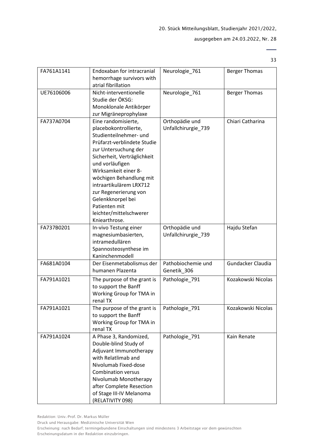33

| FA761A1141 | Endoxaban for intracranial<br>hemorrhage survivors with<br>atrial fibrillation                                                                                                                                                                                                                                                                                           | Neurologie_761                        | <b>Berger Thomas</b> |
|------------|--------------------------------------------------------------------------------------------------------------------------------------------------------------------------------------------------------------------------------------------------------------------------------------------------------------------------------------------------------------------------|---------------------------------------|----------------------|
| UE76106006 | Nicht-interventionelle<br>Studie der ÖKSG:<br>Monoklonale Antikörper<br>zur Migräneprophylaxe                                                                                                                                                                                                                                                                            | Neurologie_761                        | <b>Berger Thomas</b> |
| FA737A0704 | Eine randomisierte,<br>placebokontrollierte,<br>Studienteilnehmer- und<br>Prüfarzt-verblindete Studie<br>zur Untersuchung der<br>Sicherheit, Verträglichkeit<br>und vorläufigen<br>Wirksamkeit einer 8-<br>wöchigen Behandlung mit<br>intraartikulärem LRX712<br>zur Regenerierung von<br>Gelenkknorpel bei<br>Patienten mit<br>leichter/mittelschwerer<br>Kniearthrose. | Orthopädie und<br>Unfallchirurgie_739 | Chiari Catharina     |
| FA737B0201 | In-vivo Testung einer<br>magnesiumbasierten,<br>intramedullären<br>Spannosteosynthese im<br>Kaninchenmodell                                                                                                                                                                                                                                                              | Orthopädie und<br>Unfallchirurgie_739 | Hajdu Stefan         |
| FA681A0104 | Der Eisenmetabolismus der<br>humanen Plazenta                                                                                                                                                                                                                                                                                                                            | Pathobiochemie und<br>Genetik_306     | Gundacker Claudia    |
| FA791A1021 | The purpose of the grant is<br>to support the Banff<br>Working Group for TMA in<br>renal TX                                                                                                                                                                                                                                                                              | Pathologie_791                        | Kozakowski Nicolas   |
| FA791A1021 | The purpose of the grant is<br>to support the Banff<br>Working Group for TMA in<br>renal TX                                                                                                                                                                                                                                                                              | Pathologie_791                        | Kozakowski Nicolas   |
| FA791A1024 | A Phase 3, Randomized,<br>Double-blind Study of<br>Adjuvant Immunotherapy<br>with Relatlimab and<br>Nivolumab Fixed-dose<br><b>Combination versus</b><br>Nivolumab Monotherapy<br>after Complete Resection<br>of Stage III-IV Melanoma<br>(RELATIVITY 098)                                                                                                               | Pathologie_791                        | Kain Renate          |

Druck und Herausgabe: Medizinische Universität Wien

Erscheinung: nach Bedarf; termingebundene Einschaltungen sind mindestens 3 Arbeitstage vor dem gewünschten Erscheinungsdatum in der Redaktion einzubringen.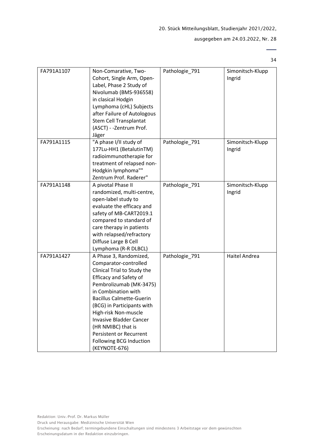# ausgegeben am 24.03.2022, Nr. 28

| FA791A1107 | Non-Comarative, Two-<br>Cohort, Single Arm, Open-<br>Label, Phase 2 Study of<br>Nivolumab (BMS-936558)<br>in clasical Hodgin<br>Lymphoma (cHL) Subjects<br>after Failure of Autologous<br>Stem Cell Transplantat<br>(ASCT) - -Zentrum Prof.<br>Jäger                                                                                                                                             | Pathologie_791 | Simonitsch-Klupp<br>Ingrid |
|------------|--------------------------------------------------------------------------------------------------------------------------------------------------------------------------------------------------------------------------------------------------------------------------------------------------------------------------------------------------------------------------------------------------|----------------|----------------------------|
| FA791A1115 | "A phase I/II study of<br>177Lu-HH1 (BetalutinTM)<br>radioimmunotherapie for<br>treatment of relapsed non-<br>Hodgkin lymphoma""<br>Zentrum Prof. Raderer"                                                                                                                                                                                                                                       | Pathologie_791 | Simonitsch-Klupp<br>Ingrid |
| FA791A1148 | A pivotal Phase II<br>randomized, multi-centre,<br>open-label study to<br>evaluate the efficacy and<br>safety of MB-CART2019.1<br>compared to standard of<br>care therapy in patients<br>with relapsed/refractory<br>Diffuse Large B Cell<br>Lymphoma (R-R DLBCL)                                                                                                                                | Pathologie_791 | Simonitsch-Klupp<br>Ingrid |
| FA791A1427 | A Phase 3, Randomized,<br>Comparator-controlled<br>Clinical Trial to Study the<br><b>Efficacy and Safety of</b><br>Pembrolizumab (MK-3475)<br>in Combination with<br><b>Bacillus Calmette-Guerin</b><br>(BCG) in Participants with<br>High-risk Non-muscle<br><b>Invasive Bladder Cancer</b><br>(HR NMIBC) that is<br><b>Persistent or Recurrent</b><br>Following BCG Induction<br>(KEYNOTE-676) | Pathologie_791 | <b>Haitel Andrea</b>       |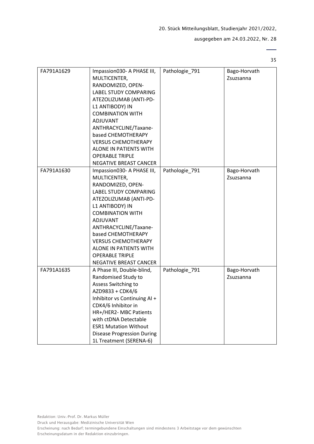# ausgegeben am 24.03.2022, Nr. 28

| FA791A1629 | Impassion030- A PHASE III,<br>MULTICENTER,<br>RANDOMIZED, OPEN-<br>LABEL STUDY COMPARING<br>ATEZOLIZUMAB (ANTI-PD-<br>L1 ANTIBODY) IN<br><b>COMBINATION WITH</b><br><b>ADJUVANT</b><br>ANTHRACYCLINE/Taxane-<br>based CHEMOTHERAPY<br><b>VERSUS CHEMOTHERAPY</b><br>ALONE IN PATIENTS WITH<br><b>OPERABLE TRIPLE</b><br>NEGATIVE BREAST CANCER | Pathologie_791 | Bago-Horvath<br>Zsuzsanna |
|------------|------------------------------------------------------------------------------------------------------------------------------------------------------------------------------------------------------------------------------------------------------------------------------------------------------------------------------------------------|----------------|---------------------------|
| FA791A1630 | Impassion030- A PHASE III,<br>MULTICENTER,<br>RANDOMIZED, OPEN-<br>LABEL STUDY COMPARING<br>ATEZOLIZUMAB (ANTI-PD-<br>L1 ANTIBODY) IN<br><b>COMBINATION WITH</b><br>ADJUVANT<br>ANTHRACYCLINE/Taxane-<br>based CHEMOTHERAPY<br><b>VERSUS CHEMOTHERAPY</b><br>ALONE IN PATIENTS WITH<br><b>OPERABLE TRIPLE</b><br>NEGATIVE BREAST CANCER        | Pathologie 791 | Bago-Horvath<br>Zsuzsanna |
| FA791A1635 | A Phase III, Double-blind,<br>Randomised Study to<br>Assess Switching to<br>AZD9833 + CDK4/6<br>Inhibitor vs Continuing AI +<br>CDK4/6 Inhibitor in<br>HR+/HER2- MBC Patients<br>with ctDNA Detectable<br><b>ESR1 Mutation Without</b><br><b>Disease Progression During</b><br>1L Treatment (SERENA-6)                                         | Pathologie_791 | Bago-Horvath<br>Zsuzsanna |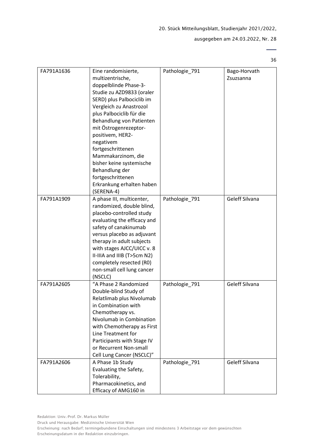# ausgegeben am 24.03.2022, Nr. 28

36

| FA791A1636 | Eine randomisierte,<br>multizentrische,<br>doppelblinde Phase-3-<br>Studie zu AZD9833 (oraler<br>SERD) plus Palbociclib im<br>Vergleich zu Anastrozol<br>plus Palbociclib für die<br>Behandlung von Patienten<br>mit Östrogenrezeptor-<br>positivem, HER2-<br>negativem<br>fortgeschrittenen<br>Mammakarzinom, die<br>bisher keine systemische<br>Behandlung der<br>fortgeschrittenen<br>Erkrankung erhalten haben<br>(SERENA-4) | Pathologie_791 | Bago-Horvath<br>Zsuzsanna |
|------------|----------------------------------------------------------------------------------------------------------------------------------------------------------------------------------------------------------------------------------------------------------------------------------------------------------------------------------------------------------------------------------------------------------------------------------|----------------|---------------------------|
| FA791A1909 | A phase III, multicenter,<br>randomized, double blind,<br>placebo-controlled study<br>evaluating the efficacy and<br>safety of canakinumab<br>versus placebo as adjuvant<br>therapy in adult subjects<br>with stages AJCC/UICC v. 8<br>II-IIIA and IIIB (T>5cm N2)<br>completely resected (R0)<br>non-small cell lung cancer<br>(NSCLC)                                                                                          | Pathologie_791 | Geleff Silvana            |
| FA791A2605 | "A Phase 2 Randomized<br>Double-blind Study of<br>Relatlimab plus Nivolumab<br>in Combination with<br>Chemotherapy vs.<br>Nivolumab in Combination<br>with Chemotherapy as First<br>Line Treatment for<br>Participants with Stage IV<br>or Recurrent Non-small<br>Cell Lung Cancer (NSCLC)"                                                                                                                                      | Pathologie_791 | Geleff Silvana            |
| FA791A2606 | A Phase 1b Study<br>Evaluating the Safety,<br>Tolerability,<br>Pharmacokinetics, and<br>Efficacy of AMG160 in                                                                                                                                                                                                                                                                                                                    | Pathologie_791 | Geleff Silvana            |

Druck und Herausgabe: Medizinische Universität Wien

Erscheinung: nach Bedarf; termingebundene Einschaltungen sind mindestens 3 Arbeitstage vor dem gewünschten Erscheinungsdatum in der Redaktion einzubringen.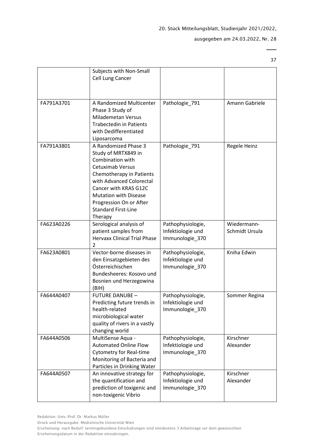37

 $\overline{\phantom{0}}$ 

|            | Subjects with Non-Small<br>Cell Lung Cancer                                                                                                                                                                                                                                     |                                                           |                               |
|------------|---------------------------------------------------------------------------------------------------------------------------------------------------------------------------------------------------------------------------------------------------------------------------------|-----------------------------------------------------------|-------------------------------|
| FA791A3701 | A Randomized Multicenter<br>Phase 3 Study of<br><b>Milademetan Versus</b><br><b>Trabectedin in Patients</b><br>with Dedifferentiated<br>Liposarcoma                                                                                                                             | Pathologie_791                                            | Amann Gabriele                |
| FA791A3801 | A Randomized Phase 3<br>Study of MRTX849 in<br>Combination with<br><b>Cetuximab Versus</b><br>Chemotherapy in Patients<br>with Advanced Colorectal<br>Cancer with KRAS G12C<br><b>Mutation with Disease</b><br>Progression On or After<br><b>Standard First-Line</b><br>Therapy | Pathologie_791                                            | Regele Heinz                  |
| FA623A0226 | Serological analysis of<br>patient samples from<br><b>Hervaxx Clinical Trial Phase</b><br>2                                                                                                                                                                                     | Pathophysiologie,<br>Infektiologie und<br>Immunologie_370 | Wiedermann-<br>Schmidt Ursula |
| FA623A0801 | Vector-borne diseases in<br>den Einsatzgebieten des<br>Österreichischen<br>Bundesheeres: Kosovo und<br>Bosnien und Herzegowina<br>(BIH)                                                                                                                                         | Pathophysiologie,<br>Infektiologie und<br>Immunologie_370 | Kniha Edwin                   |
| FA644A0407 | <b>FUTURE DANUBE -</b><br>Predicting future trends in<br>health-related<br>microbiological water<br>quality of rivers in a vastly<br>changing world                                                                                                                             | Pathophysiologie,<br>Infektiologie und<br>Immunologie 370 | Sommer Regina                 |
| FA644A0506 | MultiSense Aqua -<br><b>Automated Online Flow</b><br><b>Cytometry for Real-time</b><br>Monitoring of Bacteria and<br>Particles in Drinking Water                                                                                                                                | Pathophysiologie,<br>Infektiologie und<br>Immunologie_370 | Kirschner<br>Alexander        |
| FA644A0507 | An innovative strategy for<br>the quantification and<br>prediction of toxigenic and<br>non-toxigenic Vibrio                                                                                                                                                                     | Pathophysiologie,<br>Infektiologie und<br>Immunologie_370 | Kirschner<br>Alexander        |

Redaktion: Univ.-Prof. Dr. Markus Müller

Druck und Herausgabe: Medizinische Universität Wien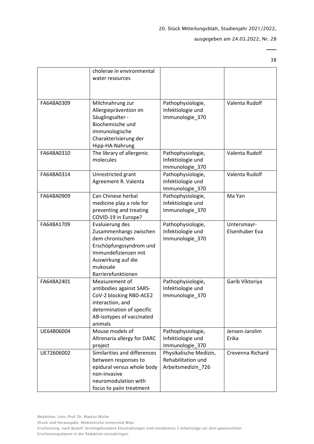38

 $\overline{a}$ 

|            | cholerae in environmental                       |                                              |                  |
|------------|-------------------------------------------------|----------------------------------------------|------------------|
|            | water resources                                 |                                              |                  |
|            |                                                 |                                              |                  |
|            |                                                 |                                              |                  |
| FA648A0309 | Milchnahrung zur                                | Pathophysiologie,                            | Valenta Rudolf   |
|            | Allergieprävention im                           | Infektiologie und                            |                  |
|            | Säuglingsalter -<br>Biochemische und            | Immunologie_370                              |                  |
|            | immunologische                                  |                                              |                  |
|            | Charakterisierung der                           |                                              |                  |
|            | Hipp-HA-Nahrung                                 |                                              |                  |
| FA648A0310 | The library of allergenic                       | Pathophysiologie,                            | Valenta Rudolf   |
|            | molecules                                       | Infektiologie und                            |                  |
|            |                                                 | Immunologie_370                              |                  |
| FA648A0314 | Unrestricted grant                              | Pathophysiologie,                            | Valenta Rudolf   |
|            | Agreement R. Valenta                            | Infektiologie und                            |                  |
|            |                                                 | Immunologie_370                              |                  |
| FA648A0909 | Can Chinese herbal                              | Pathophysiologie,                            | Ma Yan           |
|            | medicine play a role for                        | Infektiologie und                            |                  |
|            | preventing and treating                         | Immunologie 370                              |                  |
|            | COVID-19 in Europe?                             |                                              |                  |
| FA648A1709 | Evaluierung des                                 | Pathophysiologie,                            | Untersmayr-      |
|            | Zusammenhangs zwischen                          | Infektiologie und                            | Elsenhuber Eva   |
|            | dem chronischem                                 | Immunologie_370                              |                  |
|            | Erschöpfungssyndrom und<br>Immundefizienzen mit |                                              |                  |
|            | Auswirkung auf die                              |                                              |                  |
|            | mukosale                                        |                                              |                  |
|            | Barrierefunktionen                              |                                              |                  |
| FA648A2401 | Measurement of                                  | Pathophysiologie,                            | Garib Viktoriya  |
|            | antibodies against SARS-                        | Infektiologie und                            |                  |
|            | CoV-2 blocking RBD-ACE2                         | Immunologie_370                              |                  |
|            | interaction, and                                |                                              |                  |
|            | determination of specific                       |                                              |                  |
|            | AB-isotypes of vaccinated                       |                                              |                  |
|            | animals                                         |                                              |                  |
| UE64806004 | Mouse models of                                 | Pathophysiologie,                            | Jensen-Jarolim   |
|            | Altrenaria allergy for DARC                     | Infektiologie und                            | Erika            |
|            | project                                         | Immunologie_370                              |                  |
| UE72606002 | Similarities and differences                    | Physikalische Medizin,<br>Rehabilitation und | Crevenna Richard |
|            | between responses to                            |                                              |                  |
|            | epidural versus whole body<br>non-invasive      | Arbeitsmedizin_726                           |                  |
|            | neuromodulation with                            |                                              |                  |
|            | focus to paiin treatment                        |                                              |                  |
|            |                                                 |                                              |                  |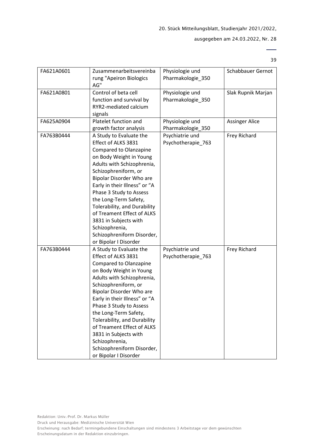39

| FA621A0601 | Zusammenarbeitsvereinba<br>rung "Apeiron Biologics<br>AG"                                                                                                                                                                                                                                                                                                                                                                                         | Physiologie und<br>Pharmakologie_350  | Schabbauer Gernot     |
|------------|---------------------------------------------------------------------------------------------------------------------------------------------------------------------------------------------------------------------------------------------------------------------------------------------------------------------------------------------------------------------------------------------------------------------------------------------------|---------------------------------------|-----------------------|
| FA621A0801 | Control of beta cell<br>function and survival by<br>RYR2-mediated calcium<br>signals                                                                                                                                                                                                                                                                                                                                                              | Physiologie und<br>Pharmakologie_350  | Slak Rupnik Marjan    |
| FA625A0904 | Platelet function and<br>growth factor analysis                                                                                                                                                                                                                                                                                                                                                                                                   | Physiologie und<br>Pharmakologie_350  | <b>Assinger Alice</b> |
| FA763B0444 | A Study to Evaluate the<br>Effect of ALKS 3831<br><b>Compared to Olanzapine</b><br>on Body Weight in Young<br>Adults with Schizophrenia,<br>Schizophreniform, or<br>Bipolar Disorder Who are<br>Early in their Illness" or "A<br>Phase 3 Study to Assess<br>the Long-Term Safety,<br>Tolerability, and Durability<br>of Treament Effect of ALKS<br>3831 in Subjects with<br>Schizophrenia,<br>Schizophreniform Disorder,<br>or Bipolar I Disorder | Psychiatrie und<br>Psychotherapie_763 | Frey Richard          |
| FA763B0444 | A Study to Evaluate the<br>Effect of ALKS 3831<br><b>Compared to Olanzapine</b><br>on Body Weight in Young<br>Adults with Schizophrenia,<br>Schizophreniform, or<br>Bipolar Disorder Who are<br>Early in their Illness" or "A<br>Phase 3 Study to Assess<br>the Long-Term Safety,<br>Tolerability, and Durability<br>of Treament Effect of ALKS<br>3831 in Subjects with<br>Schizophrenia,<br>Schizophreniform Disorder,<br>or Bipolar I Disorder | Psychiatrie und<br>Psychotherapie_763 | Frey Richard          |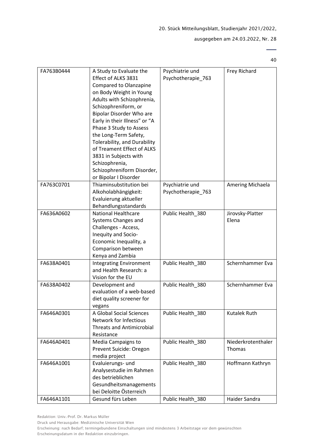# ausgegeben am 24.03.2022, Nr. 28

40

| FA763B0444 | A Study to Evaluate the          | Psychiatrie und    | Frey Richard       |
|------------|----------------------------------|--------------------|--------------------|
|            | Effect of ALKS 3831              | Psychotherapie_763 |                    |
|            | <b>Compared to Olanzapine</b>    |                    |                    |
|            | on Body Weight in Young          |                    |                    |
|            | Adults with Schizophrenia,       |                    |                    |
|            | Schizophreniform, or             |                    |                    |
|            | Bipolar Disorder Who are         |                    |                    |
|            | Early in their Illness" or "A    |                    |                    |
|            | Phase 3 Study to Assess          |                    |                    |
|            | the Long-Term Safety,            |                    |                    |
|            | Tolerability, and Durability     |                    |                    |
|            | of Treament Effect of ALKS       |                    |                    |
|            | 3831 in Subjects with            |                    |                    |
|            | Schizophrenia,                   |                    |                    |
|            | Schizophreniform Disorder,       |                    |                    |
|            | or Bipolar I Disorder            |                    |                    |
| FA763C0701 | Thiaminsubstitution bei          | Psychiatrie und    | Amering Michaela   |
|            |                                  |                    |                    |
|            | Alkoholabhängigkeit:             | Psychotherapie_763 |                    |
|            | Evaluierung aktueller            |                    |                    |
|            | Behandlungsstandards             |                    |                    |
| FA636A0602 | <b>National Healthcare</b>       | Public Health_380  | Jirovsky-Platter   |
|            | Systems Changes and              |                    | Elena              |
|            | Challenges - Access,             |                    |                    |
|            | Inequity and Socio-              |                    |                    |
|            | Economic Inequality, a           |                    |                    |
|            | Comparison between               |                    |                    |
|            | Kenya and Zambia                 |                    |                    |
| FA638A0401 | <b>Integrating Environment</b>   | Public Health_380  | Schernhammer Eva   |
|            | and Health Research: a           |                    |                    |
|            | Vision for the EU                |                    |                    |
| FA638A0402 | Development and                  | Public Health_380  | Schernhammer Eva   |
|            | evaluation of a web-based        |                    |                    |
|            | diet quality screener for        |                    |                    |
|            | vegans                           |                    |                    |
| FA646A0301 | A Global Social Sciences         | Public Health_380  | Kutalek Ruth       |
|            | Network for Infectious           |                    |                    |
|            | <b>Threats and Antimicrobial</b> |                    |                    |
|            | Resistance                       |                    |                    |
| FA646A0401 | Media Campaigns to               | Public Health 380  | Niederkrotenthaler |
|            | Prevent Suicide: Oregon          |                    | Thomas             |
|            | media project                    |                    |                    |
| FA646A1001 | Evaluierungs- und                | Public Health_380  | Hoffmann Kathryn   |
|            | Analysestudie im Rahmen          |                    |                    |
|            | des betrieblichen                |                    |                    |
|            | Gesundheitsmanagements           |                    |                    |
|            | bei Deloitte Österreich          |                    |                    |
| FA646A1101 | Gesund fürs Leben                | Public Health_380  | Haider Sandra      |
|            |                                  |                    |                    |

Druck und Herausgabe: Medizinische Universität Wien

Erscheinung: nach Bedarf; termingebundene Einschaltungen sind mindestens 3 Arbeitstage vor dem gewünschten Erscheinungsdatum in der Redaktion einzubringen.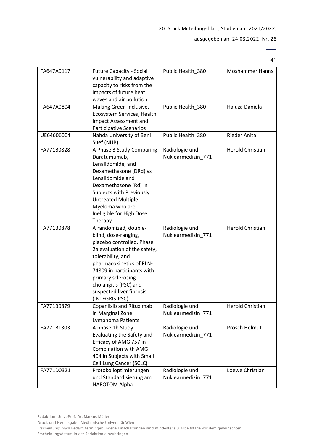41

 $\overline{\phantom{0}}$ 

| FA647A0117 | <b>Future Capacity - Social</b><br>vulnerability and adaptive<br>capacity to risks from the<br>impacts of future heat<br>waves and air pollution                                                                                                                                       | Public Health_380                    | <b>Moshammer Hanns</b>  |
|------------|----------------------------------------------------------------------------------------------------------------------------------------------------------------------------------------------------------------------------------------------------------------------------------------|--------------------------------------|-------------------------|
| FA647A0804 | Making Green Inclusive.<br>Ecosystem Services, Health<br><b>Impact Assessment and</b><br>Participative Scenarios                                                                                                                                                                       | Public Health_380                    | Haluza Daniela          |
| UE64606004 | Nahda University of Beni<br>Suef (NUB)                                                                                                                                                                                                                                                 | Public Health_380                    | Rieder Anita            |
| FA771B0828 | A Phase 3 Study Comparing<br>Daratumumab,<br>Lenalidomide, and<br>Dexamethasone (DRd) vs<br>Lenalidomide and<br>Dexamethasone (Rd) in<br>Subjects with Previously<br><b>Untreated Multiple</b><br>Myeloma who are<br>Ineligible for High Dose<br>Therapy                               | Radiologie und<br>Nuklearmedizin_771 | <b>Herold Christian</b> |
| FA771B0878 | A randomized, double-<br>blind, dose-ranging,<br>placebo controlled, Phase<br>2a evaluation of the safety,<br>tolerability, and<br>pharmacokinetics of PLN-<br>74809 in participants with<br>primary sclerosing<br>cholangitis (PSC) and<br>suspected liver fibrosis<br>(INTEGRIS-PSC) | Radiologie und<br>Nuklearmedizin_771 | <b>Herold Christian</b> |
| FA771B0879 | Copanlisib and Rituximab<br>in Marginal Zone<br>Lymphoma Patients                                                                                                                                                                                                                      | Radiologie und<br>Nuklearmedizin 771 | <b>Herold Christian</b> |
| FA771B1303 | A phase 1b Study<br>Evaluating the Safety and<br>Efficacy of AMG 757 in<br><b>Combination with AMG</b><br>404 in Subjects with Small<br>Cell Lung Cancer (SCLC)                                                                                                                        | Radiologie und<br>Nuklearmedizin_771 | Prosch Helmut           |
| FA771D0321 | Protokolloptimierungen<br>und Standardisierung am<br>NAEOTOM Alpha                                                                                                                                                                                                                     | Radiologie und<br>Nuklearmedizin_771 | Loewe Christian         |

Druck und Herausgabe: Medizinische Universität Wien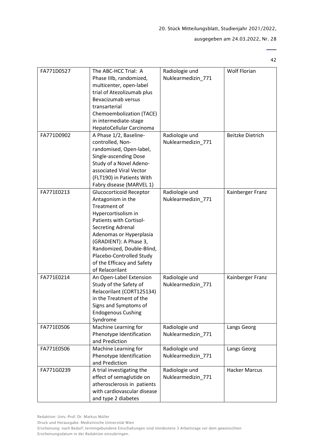42

 $\overline{a}$ 

| FA771D0527 | The ABC-HCC Trial: A<br>Phase IIIb, randomized,<br>multicenter, open-label<br>trial of Atezolizumab plus<br>Bevacizumab versus<br>transarterial<br>Chemoembolization (TACE)<br>in intermediate-stage<br>HepatoCellular Carcinoma                                                                                 | Radiologie und<br>Nuklearmedizin_771 | <b>Wolf Florian</b>     |
|------------|------------------------------------------------------------------------------------------------------------------------------------------------------------------------------------------------------------------------------------------------------------------------------------------------------------------|--------------------------------------|-------------------------|
| FA771D0902 | A Phase 1/2, Baseline-<br>controlled, Non-<br>randomised, Open-label,<br>Single-ascending Dose<br>Study of a Novel Adeno-<br>associated Viral Vector<br>(FLT190) in Patients With<br>Fabry disease (MARVEL 1)                                                                                                    | Radiologie und<br>Nuklearmedizin_771 | <b>Beitzke Dietrich</b> |
| FA771E0213 | <b>Glucocorticoid Receptor</b><br>Antagonism in the<br>Treatment of<br>Hypercortisolism in<br>Patients with Cortisol-<br><b>Secreting Adrenal</b><br>Adenomas or Hyperplasia<br>(GRADIENT): A Phase 3,<br>Randomized, Double-Blind,<br>Placebo-Controlled Study<br>of the Efficacy and Safety<br>of Relacorilant | Radiologie und<br>Nuklearmedizin_771 | Kainberger Franz        |
| FA771E0214 | An Open-Label Extension<br>Study of the Safety of<br>Relacorilant (CORT125134)<br>in the Treatment of the<br>Signs and Symptoms of<br><b>Endogenous Cushing</b><br>Syndrome                                                                                                                                      | Radiologie und<br>Nuklearmedizin_771 | Kainberger Franz        |
| FA771E0506 | Machine Learning for<br>Phenotype Identification<br>and Prediction                                                                                                                                                                                                                                               | Radiologie und<br>Nuklearmedizin 771 | Langs Georg             |
| FA771E0506 | Machine Learning for<br>Phenotype Identification<br>and Prediction                                                                                                                                                                                                                                               | Radiologie und<br>Nuklearmedizin 771 | Langs Georg             |
| FA771G0239 | A trial investigating the<br>effect of semaglutide on<br>atherosclerosis in patients<br>with cardiovascular disease<br>and type 2 diabetes                                                                                                                                                                       | Radiologie und<br>Nuklearmedizin_771 | <b>Hacker Marcus</b>    |

Druck und Herausgabe: Medizinische Universität Wien

Erscheinung: nach Bedarf; termingebundene Einschaltungen sind mindestens 3 Arbeitstage vor dem gewünschten Erscheinungsdatum in der Redaktion einzubringen.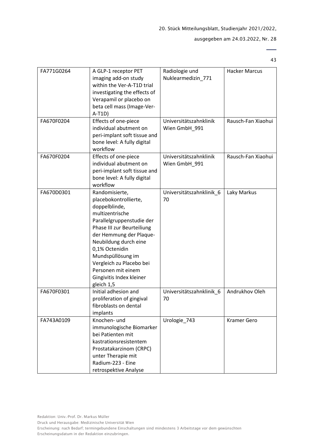# ausgegeben am 24.03.2022, Nr. 28

 $\overline{\phantom{0}}$ 43

| FA771G0264 | A GLP-1 receptor PET<br>imaging add-on study<br>within the Ver-A-T1D trial<br>investigating the effects of<br>Verapamil or placebo on<br>beta cell mass (Image-Ver-<br>$A-T1D)$                                                                                                                                               | Radiologie und<br>Nuklearmedizin_771    | <b>Hacker Marcus</b> |
|------------|-------------------------------------------------------------------------------------------------------------------------------------------------------------------------------------------------------------------------------------------------------------------------------------------------------------------------------|-----------------------------------------|----------------------|
| FA670F0204 | Effects of one-piece<br>individual abutment on<br>peri-implant soft tissue and<br>bone level: A fully digital<br>workflow                                                                                                                                                                                                     | Universitätszahnklinik<br>Wien GmbH_991 | Rausch-Fan Xiaohui   |
| FA670F0204 | Effects of one-piece<br>individual abutment on<br>peri-implant soft tissue and<br>bone level: A fully digital<br>workflow                                                                                                                                                                                                     | Universitätszahnklinik<br>Wien GmbH_991 | Rausch-Fan Xiaohui   |
| FA670D0301 | Randomisierte,<br>placebokontrollierte,<br>doppelblinde,<br>multizentrische<br>Parallelgruppenstudie der<br>Phase III zur Beurteiliung<br>der Hemmung der Plaque-<br>Neubildung durch eine<br>0,1% Octenidin<br>Mundspüllösung im<br>Vergleich zu Placebo bei<br>Personen mit einem<br>Gingivitis Index kleiner<br>gleich 1,5 | Universitätszahnklinik_6<br>70          | Laky Markus          |
| FA670F0301 | Initial adhesion and<br>proliferation of gingival<br>fibroblasts on dental<br>implants                                                                                                                                                                                                                                        | Universitätszahnklinik_6<br>70          | Andrukhov Oleh       |
| FA743A0109 | Knochen- und<br>immunologische Biomarker<br>bei Patienten mit<br>kastrationsresistentem<br>Prostatakarzinom (CRPC)<br>unter Therapie mit<br>Radium-223 - Eine<br>retrospektive Analyse                                                                                                                                        | Urologie_743                            | <b>Kramer Gero</b>   |

Druck und Herausgabe: Medizinische Universität Wien

Redaktion: Univ.-Prof. Dr. Markus Müller